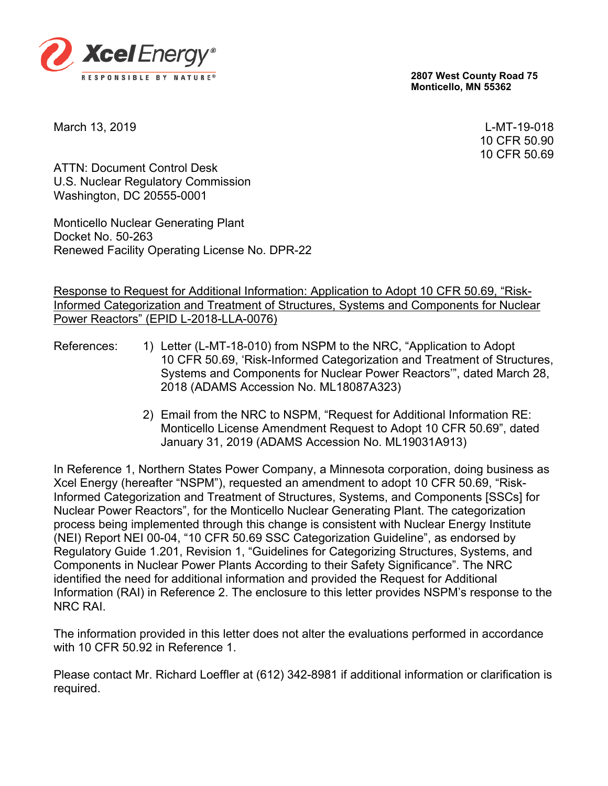

**2807 West County Road 75 Monticello, MN 55362**

March 13, 2019 L-MT-19-018

10 CFR 50.90 10 CFR 50.69

ATTN: Document Control Desk U.S. Nuclear Regulatory Commission Washington, DC 20555-0001

Monticello Nuclear Generating Plant Docket No. 50-263 Renewed Facility Operating License No. DPR-22

#### Response to Request for Additional Information: Application to Adopt 10 CFR 50.69, "Risk-Informed Categorization and Treatment of Structures, Systems and Components for Nuclear Power Reactors" (EPID L-2018-LLA-0076)

- References: 1) Letter (L-MT-18-010) from NSPM to the NRC, "Application to Adopt 10 CFR 50.69, 'Risk-Informed Categorization and Treatment of Structures, Systems and Components for Nuclear Power Reactors'", dated March 28, 2018 (ADAMS Accession No. ML18087A323)
	- 2) Email from the NRC to NSPM, "Request for Additional Information RE: Monticello License Amendment Request to Adopt 10 CFR 50.69", dated January 31, 2019 (ADAMS Accession No. ML19031A913)

In Reference 1, Northern States Power Company, a Minnesota corporation, doing business as Xcel Energy (hereafter "NSPM"), requested an amendment to adopt 10 CFR 50.69, "Risk-Informed Categorization and Treatment of Structures, Systems, and Components [SSCs] for Nuclear Power Reactors", for the Monticello Nuclear Generating Plant. The categorization process being implemented through this change is consistent with Nuclear Energy Institute (NEI) Report NEI 00-04, "10 CFR 50.69 SSC Categorization Guideline", as endorsed by Regulatory Guide 1.201, Revision 1, "Guidelines for Categorizing Structures, Systems, and Components in Nuclear Power Plants According to their Safety Significance". The NRC identified the need for additional information and provided the Request for Additional Information (RAI) in Reference 2. The enclosure to this letter provides NSPM's response to the NRC RAI.

The information provided in this letter does not alter the evaluations performed in accordance with 10 CFR 50.92 in Reference 1

Please contact Mr. Richard Loeffler at (612) 342-8981 if additional information or clarification is required.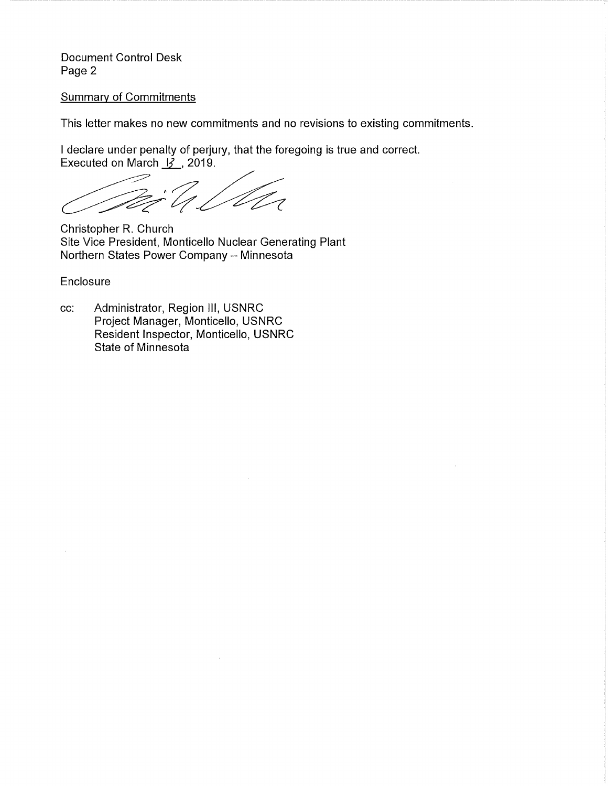Document Control Desk Page 2

#### Summary of Commitments

This letter makes no new commitments and no revisions to existing commitments.

I declare under penalty of perjury, that the foregoing is true and correct. Executed on March  $\cancel{3}$ , 2019.

 $\frac{1}{2}$ il VI

Christopher R. Church Site Vice President, Monticello Nuclear Generating Plant Northern States Power Company - Minnesota

Enclosure

cc: Administrator, Region Ill, USNRC Project Manager, Monticello, USNRC Resident Inspector, Monticello, USNRC State of Minnesota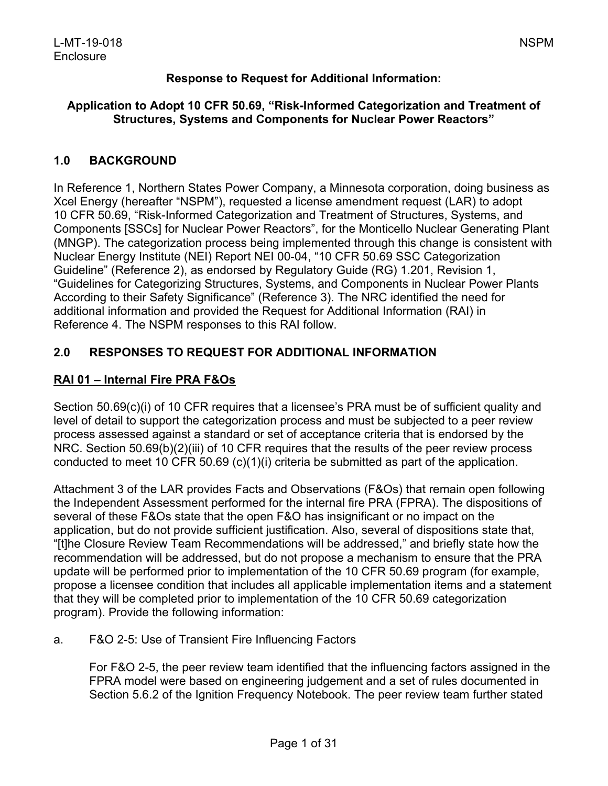# **Response to Request for Additional Information:**

#### **Application to Adopt 10 CFR 50.69, "Risk-Informed Categorization and Treatment of Structures, Systems and Components for Nuclear Power Reactors"**

# **1.0 BACKGROUND**

In Reference 1, Northern States Power Company, a Minnesota corporation, doing business as Xcel Energy (hereafter "NSPM"), requested a license amendment request (LAR) to adopt 10 CFR 50.69, "Risk-Informed Categorization and Treatment of Structures, Systems, and Components [SSCs] for Nuclear Power Reactors", for the Monticello Nuclear Generating Plant (MNGP). The categorization process being implemented through this change is consistent with Nuclear Energy Institute (NEI) Report NEI 00-04, "10 CFR 50.69 SSC Categorization Guideline" (Reference 2), as endorsed by Regulatory Guide (RG) 1.201, Revision 1, "Guidelines for Categorizing Structures, Systems, and Components in Nuclear Power Plants According to their Safety Significance" (Reference 3). The NRC identified the need for additional information and provided the Request for Additional Information (RAI) in Reference 4. The NSPM responses to this RAI follow.

# **2.0 RESPONSES TO REQUEST FOR ADDITIONAL INFORMATION**

# **RAI 01 – Internal Fire PRA F&Os**

Section 50.69(c)(i) of 10 CFR requires that a licensee's PRA must be of sufficient quality and level of detail to support the categorization process and must be subjected to a peer review process assessed against a standard or set of acceptance criteria that is endorsed by the NRC. Section 50.69(b)(2)(iii) of 10 CFR requires that the results of the peer review process conducted to meet 10 CFR 50.69 (c)(1)(i) criteria be submitted as part of the application.

Attachment 3 of the LAR provides Facts and Observations (F&Os) that remain open following the Independent Assessment performed for the internal fire PRA (FPRA). The dispositions of several of these F&Os state that the open F&O has insignificant or no impact on the application, but do not provide sufficient justification. Also, several of dispositions state that, "[t]he Closure Review Team Recommendations will be addressed," and briefly state how the recommendation will be addressed, but do not propose a mechanism to ensure that the PRA update will be performed prior to implementation of the 10 CFR 50.69 program (for example, propose a licensee condition that includes all applicable implementation items and a statement that they will be completed prior to implementation of the 10 CFR 50.69 categorization program). Provide the following information:

#### a. F&O 2-5: Use of Transient Fire Influencing Factors

For F&O 2-5, the peer review team identified that the influencing factors assigned in the FPRA model were based on engineering judgement and a set of rules documented in Section 5.6.2 of the Ignition Frequency Notebook. The peer review team further stated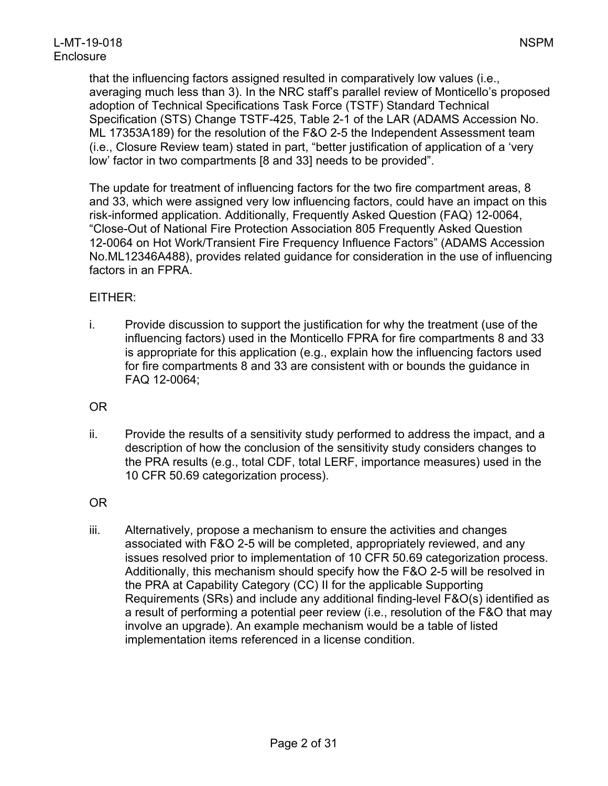that the influencing factors assigned resulted in comparatively low values (i.e., averaging much less than 3). In the NRC staff's parallel review of Monticello's proposed adoption of Technical Specifications Task Force (TSTF) Standard Technical Specification (STS) Change TSTF-425, Table 2-1 of the LAR (ADAMS Accession No. ML 17353A189) for the resolution of the F&O 2-5 the Independent Assessment team (i.e., Closure Review team) stated in part, "better justification of application of a 'very low' factor in two compartments [8 and 33] needs to be provided".

The update for treatment of influencing factors for the two fire compartment areas, 8 and 33, which were assigned very low influencing factors, could have an impact on this risk-informed application. Additionally, Frequently Asked Question (FAQ) 12-0064, "Close-Out of National Fire Protection Association 805 Frequently Asked Question 12-0064 on Hot Work/Transient Fire Frequency Influence Factors" (ADAMS Accession No.ML12346A488), provides related guidance for consideration in the use of influencing factors in an FPRA.

# EITHER:

i. Provide discussion to support the justification for why the treatment (use of the influencing factors) used in the Monticello FPRA for fire compartments 8 and 33 is appropriate for this application (e.g., explain how the influencing factors used for fire compartments 8 and 33 are consistent with or bounds the guidance in FAQ 12-0064;

OR

ii. Provide the results of a sensitivity study performed to address the impact, and a description of how the conclusion of the sensitivity study considers changes to the PRA results (e.g., total CDF, total LERF, importance measures) used in the 10 CFR 50.69 categorization process).

OR

iii. Alternatively, propose a mechanism to ensure the activities and changes associated with F&O 2-5 will be completed, appropriately reviewed, and any issues resolved prior to implementation of 10 CFR 50.69 categorization process. Additionally, this mechanism should specify how the F&O 2-5 will be resolved in the PRA at Capability Category (CC) II for the applicable Supporting Requirements (SRs) and include any additional finding-level F&O(s) identified as a result of performing a potential peer review (i.e., resolution of the F&O that may involve an upgrade). An example mechanism would be a table of listed implementation items referenced in a license condition.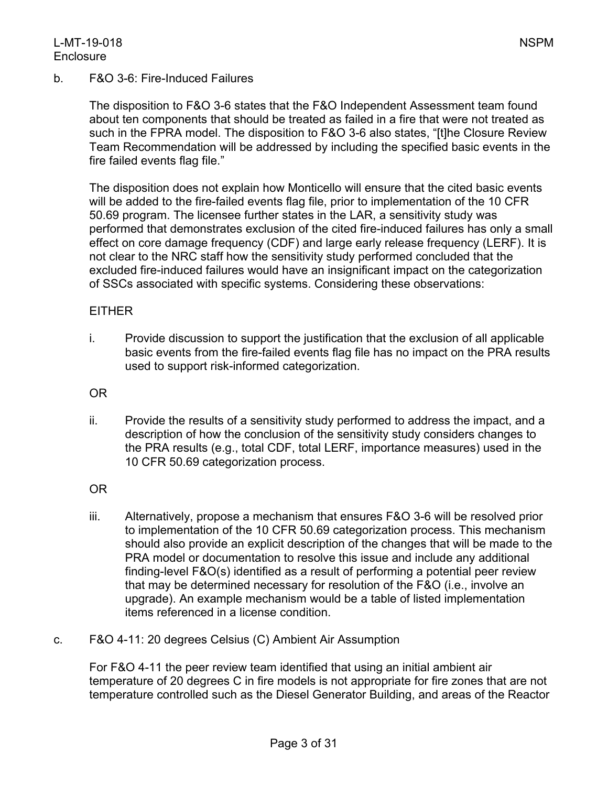#### L-MT-19-018 NSPM **Enclosure**

b. F&O 3-6: Fire-Induced Failures

The disposition to F&O 3-6 states that the F&O Independent Assessment team found about ten components that should be treated as failed in a fire that were not treated as such in the FPRA model. The disposition to F&O 3-6 also states, "[t]he Closure Review Team Recommendation will be addressed by including the specified basic events in the fire failed events flag file."

The disposition does not explain how Monticello will ensure that the cited basic events will be added to the fire-failed events flag file, prior to implementation of the 10 CFR 50.69 program. The licensee further states in the LAR, a sensitivity study was performed that demonstrates exclusion of the cited fire-induced failures has only a small effect on core damage frequency (CDF) and large early release frequency (LERF). It is not clear to the NRC staff how the sensitivity study performed concluded that the excluded fire-induced failures would have an insignificant impact on the categorization of SSCs associated with specific systems. Considering these observations:

#### EITHER

i. Provide discussion to support the justification that the exclusion of all applicable basic events from the fire-failed events flag file has no impact on the PRA results used to support risk-informed categorization.

OR

ii. Provide the results of a sensitivity study performed to address the impact, and a description of how the conclusion of the sensitivity study considers changes to the PRA results (e.g., total CDF, total LERF, importance measures) used in the 10 CFR 50.69 categorization process.

OR

- iii. Alternatively, propose a mechanism that ensures F&O 3-6 will be resolved prior to implementation of the 10 CFR 50.69 categorization process. This mechanism should also provide an explicit description of the changes that will be made to the PRA model or documentation to resolve this issue and include any additional finding-level F&O(s) identified as a result of performing a potential peer review that may be determined necessary for resolution of the F&O (i.e., involve an upgrade). An example mechanism would be a table of listed implementation items referenced in a license condition.
- c. F&O 4-11: 20 degrees Celsius (C) Ambient Air Assumption

For F&O 4-11 the peer review team identified that using an initial ambient air temperature of 20 degrees C in fire models is not appropriate for fire zones that are not temperature controlled such as the Diesel Generator Building, and areas of the Reactor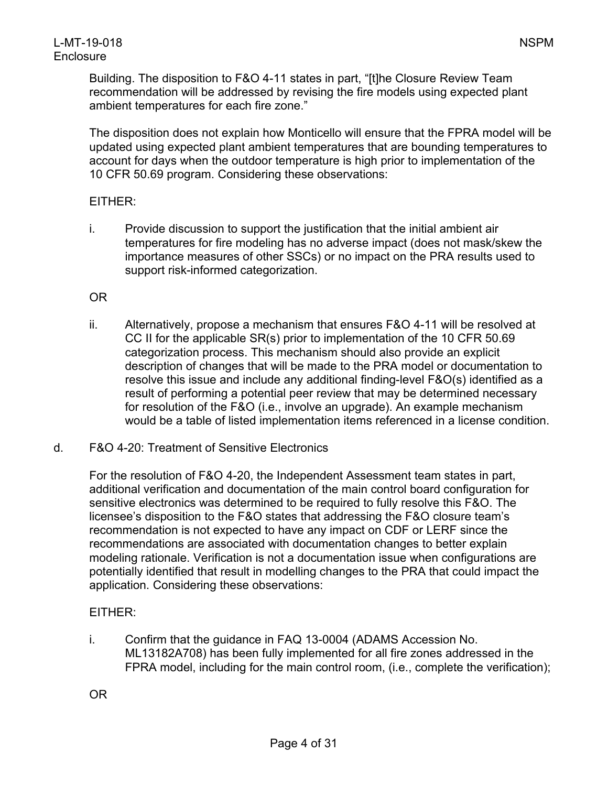Building. The disposition to F&O 4-11 states in part, "[t]he Closure Review Team recommendation will be addressed by revising the fire models using expected plant ambient temperatures for each fire zone."

The disposition does not explain how Monticello will ensure that the FPRA model will be updated using expected plant ambient temperatures that are bounding temperatures to account for days when the outdoor temperature is high prior to implementation of the 10 CFR 50.69 program. Considering these observations:

# EITHER:

i. Provide discussion to support the justification that the initial ambient air temperatures for fire modeling has no adverse impact (does not mask/skew the importance measures of other SSCs) or no impact on the PRA results used to support risk-informed categorization.

# OR

- ii. Alternatively, propose a mechanism that ensures F&O 4-11 will be resolved at CC II for the applicable SR(s) prior to implementation of the 10 CFR 50.69 categorization process. This mechanism should also provide an explicit description of changes that will be made to the PRA model or documentation to resolve this issue and include any additional finding-level F&O(s) identified as a result of performing a potential peer review that may be determined necessary for resolution of the F&O (i.e., involve an upgrade). An example mechanism would be a table of listed implementation items referenced in a license condition.
- d. F&O 4-20: Treatment of Sensitive Electronics

For the resolution of F&O 4-20, the Independent Assessment team states in part, additional verification and documentation of the main control board configuration for sensitive electronics was determined to be required to fully resolve this F&O. The licensee's disposition to the F&O states that addressing the F&O closure team's recommendation is not expected to have any impact on CDF or LERF since the recommendations are associated with documentation changes to better explain modeling rationale. Verification is not a documentation issue when configurations are potentially identified that result in modelling changes to the PRA that could impact the application. Considering these observations:

# EITHER:

i. Confirm that the guidance in FAQ 13-0004 (ADAMS Accession No. ML13182A708) has been fully implemented for all fire zones addressed in the FPRA model, including for the main control room, (i.e., complete the verification);

OR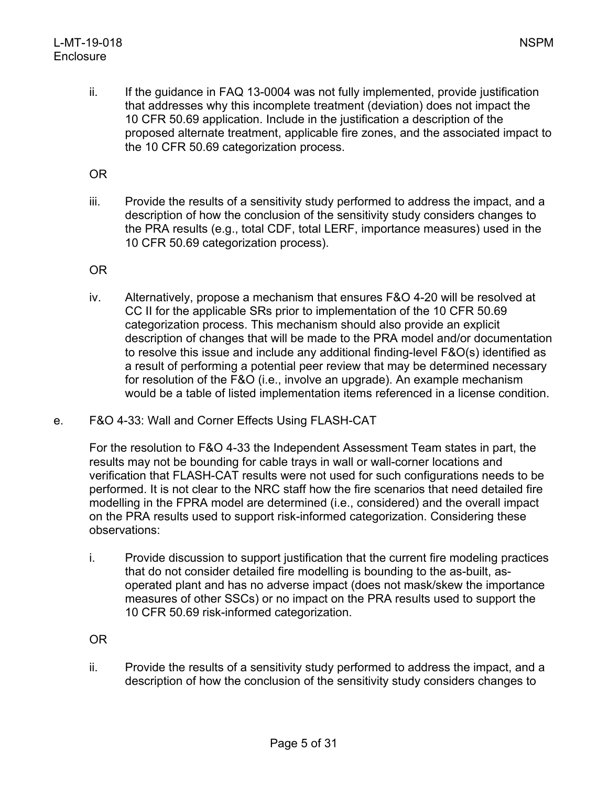ii. If the guidance in FAQ 13-0004 was not fully implemented, provide justification that addresses why this incomplete treatment (deviation) does not impact the 10 CFR 50.69 application. Include in the justification a description of the proposed alternate treatment, applicable fire zones, and the associated impact to the 10 CFR 50.69 categorization process.

OR

iii. Provide the results of a sensitivity study performed to address the impact, and a description of how the conclusion of the sensitivity study considers changes to the PRA results (e.g., total CDF, total LERF, importance measures) used in the 10 CFR 50.69 categorization process).

OR

- iv. Alternatively, propose a mechanism that ensures F&O 4-20 will be resolved at CC II for the applicable SRs prior to implementation of the 10 CFR 50.69 categorization process. This mechanism should also provide an explicit description of changes that will be made to the PRA model and/or documentation to resolve this issue and include any additional finding-level F&O(s) identified as a result of performing a potential peer review that may be determined necessary for resolution of the F&O (i.e., involve an upgrade). An example mechanism would be a table of listed implementation items referenced in a license condition.
- e. F&O 4-33: Wall and Corner Effects Using FLASH-CAT

For the resolution to F&O 4-33 the Independent Assessment Team states in part, the results may not be bounding for cable trays in wall or wall-corner locations and verification that FLASH-CAT results were not used for such configurations needs to be performed. It is not clear to the NRC staff how the fire scenarios that need detailed fire modelling in the FPRA model are determined (i.e., considered) and the overall impact on the PRA results used to support risk-informed categorization. Considering these observations:

i. Provide discussion to support justification that the current fire modeling practices that do not consider detailed fire modelling is bounding to the as-built, asoperated plant and has no adverse impact (does not mask/skew the importance measures of other SSCs) or no impact on the PRA results used to support the 10 CFR 50.69 risk-informed categorization.

OR

ii. Provide the results of a sensitivity study performed to address the impact, and a description of how the conclusion of the sensitivity study considers changes to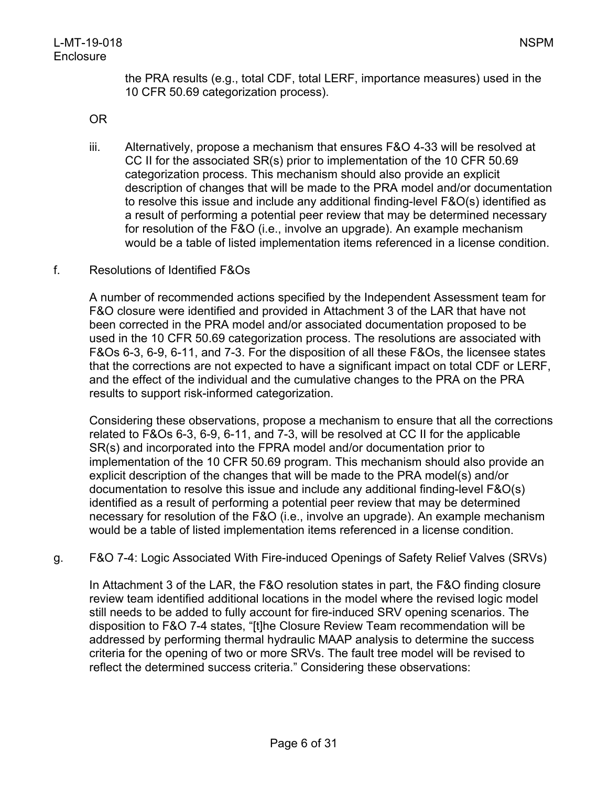the PRA results (e.g., total CDF, total LERF, importance measures) used in the 10 CFR 50.69 categorization process).

OR

- iii. Alternatively, propose a mechanism that ensures F&O 4-33 will be resolved at CC II for the associated SR(s) prior to implementation of the 10 CFR 50.69 categorization process. This mechanism should also provide an explicit description of changes that will be made to the PRA model and/or documentation to resolve this issue and include any additional finding-level F&O(s) identified as a result of performing a potential peer review that may be determined necessary for resolution of the F&O (i.e., involve an upgrade). An example mechanism would be a table of listed implementation items referenced in a license condition.
- f. Resolutions of Identified F&Os

A number of recommended actions specified by the Independent Assessment team for F&O closure were identified and provided in Attachment 3 of the LAR that have not been corrected in the PRA model and/or associated documentation proposed to be used in the 10 CFR 50.69 categorization process. The resolutions are associated with F&Os 6-3, 6-9, 6-11, and 7-3. For the disposition of all these F&Os, the licensee states that the corrections are not expected to have a significant impact on total CDF or LERF, and the effect of the individual and the cumulative changes to the PRA on the PRA results to support risk-informed categorization.

Considering these observations, propose a mechanism to ensure that all the corrections related to F&Os 6-3, 6-9, 6-11, and 7-3, will be resolved at CC II for the applicable SR(s) and incorporated into the FPRA model and/or documentation prior to implementation of the 10 CFR 50.69 program. This mechanism should also provide an explicit description of the changes that will be made to the PRA model(s) and/or documentation to resolve this issue and include any additional finding-level F&O(s) identified as a result of performing a potential peer review that may be determined necessary for resolution of the F&O (i.e., involve an upgrade). An example mechanism would be a table of listed implementation items referenced in a license condition.

g. F&O 7-4: Logic Associated With Fire-induced Openings of Safety Relief Valves (SRVs)

In Attachment 3 of the LAR, the F&O resolution states in part, the F&O finding closure review team identified additional locations in the model where the revised logic model still needs to be added to fully account for fire-induced SRV opening scenarios. The disposition to F&O 7-4 states, "[t]he Closure Review Team recommendation will be addressed by performing thermal hydraulic MAAP analysis to determine the success criteria for the opening of two or more SRVs. The fault tree model will be revised to reflect the determined success criteria." Considering these observations: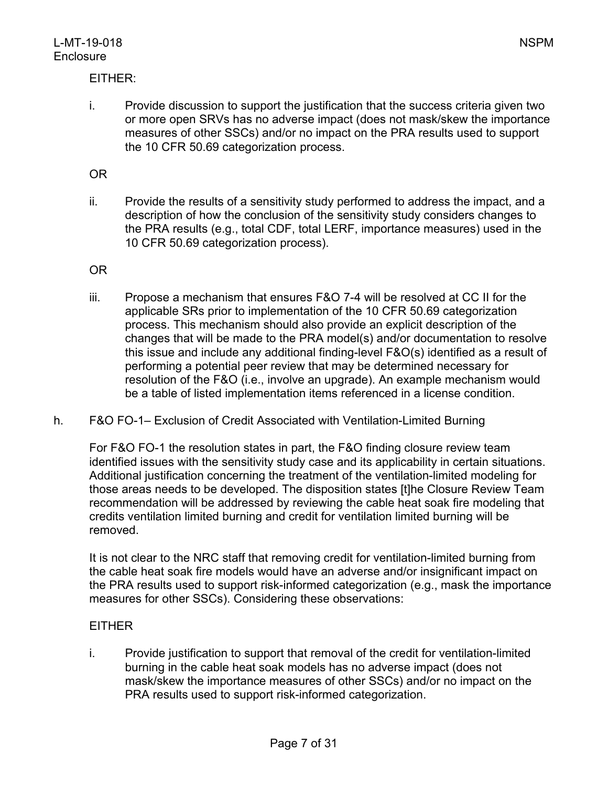# EITHER:

i. Provide discussion to support the justification that the success criteria given two or more open SRVs has no adverse impact (does not mask/skew the importance measures of other SSCs) and/or no impact on the PRA results used to support the 10 CFR 50.69 categorization process.

### OR

ii. Provide the results of a sensitivity study performed to address the impact, and a description of how the conclusion of the sensitivity study considers changes to the PRA results (e.g., total CDF, total LERF, importance measures) used in the 10 CFR 50.69 categorization process).

#### OR

- iii. Propose a mechanism that ensures F&O 7-4 will be resolved at CC II for the applicable SRs prior to implementation of the 10 CFR 50.69 categorization process. This mechanism should also provide an explicit description of the changes that will be made to the PRA model(s) and/or documentation to resolve this issue and include any additional finding-level F&O(s) identified as a result of performing a potential peer review that may be determined necessary for resolution of the F&O (i.e., involve an upgrade). An example mechanism would be a table of listed implementation items referenced in a license condition.
- h. F&O FO-1– Exclusion of Credit Associated with Ventilation-Limited Burning

For F&O FO-1 the resolution states in part, the F&O finding closure review team identified issues with the sensitivity study case and its applicability in certain situations. Additional justification concerning the treatment of the ventilation-limited modeling for those areas needs to be developed. The disposition states [t]he Closure Review Team recommendation will be addressed by reviewing the cable heat soak fire modeling that credits ventilation limited burning and credit for ventilation limited burning will be removed.

It is not clear to the NRC staff that removing credit for ventilation-limited burning from the cable heat soak fire models would have an adverse and/or insignificant impact on the PRA results used to support risk-informed categorization (e.g., mask the importance measures for other SSCs). Considering these observations:

#### EITHER

i. Provide justification to support that removal of the credit for ventilation-limited burning in the cable heat soak models has no adverse impact (does not mask/skew the importance measures of other SSCs) and/or no impact on the PRA results used to support risk-informed categorization.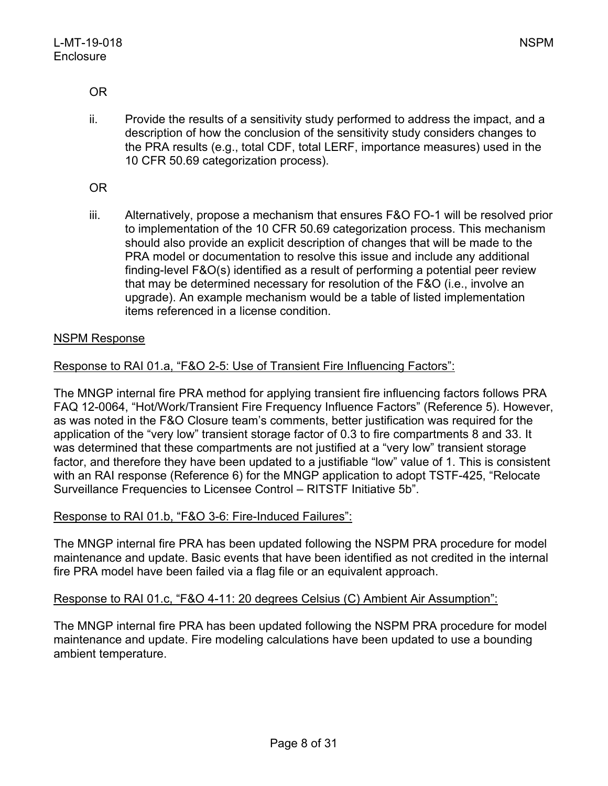OR

ii. Provide the results of a sensitivity study performed to address the impact, and a description of how the conclusion of the sensitivity study considers changes to the PRA results (e.g., total CDF, total LERF, importance measures) used in the 10 CFR 50.69 categorization process).

OR

iii. Alternatively, propose a mechanism that ensures F&O FO-1 will be resolved prior to implementation of the 10 CFR 50.69 categorization process. This mechanism should also provide an explicit description of changes that will be made to the PRA model or documentation to resolve this issue and include any additional finding-level F&O(s) identified as a result of performing a potential peer review that may be determined necessary for resolution of the F&O (i.e., involve an upgrade). An example mechanism would be a table of listed implementation items referenced in a license condition.

# NSPM Response

# Response to RAI 01.a, "F&O 2-5: Use of Transient Fire Influencing Factors":

The MNGP internal fire PRA method for applying transient fire influencing factors follows PRA FAQ 12-0064, "Hot/Work/Transient Fire Frequency Influence Factors" (Reference 5). However, as was noted in the F&O Closure team's comments, better justification was required for the application of the "very low" transient storage factor of 0.3 to fire compartments 8 and 33. It was determined that these compartments are not justified at a "very low" transient storage factor, and therefore they have been updated to a justifiable "low" value of 1. This is consistent with an RAI response (Reference 6) for the MNGP application to adopt TSTF-425, "Relocate Surveillance Frequencies to Licensee Control – RITSTF Initiative 5b".

#### Response to RAI 01.b, "F&O 3-6: Fire-Induced Failures":

The MNGP internal fire PRA has been updated following the NSPM PRA procedure for model maintenance and update. Basic events that have been identified as not credited in the internal fire PRA model have been failed via a flag file or an equivalent approach.

#### Response to RAI 01.c, "F&O 4-11: 20 degrees Celsius (C) Ambient Air Assumption":

The MNGP internal fire PRA has been updated following the NSPM PRA procedure for model maintenance and update. Fire modeling calculations have been updated to use a bounding ambient temperature.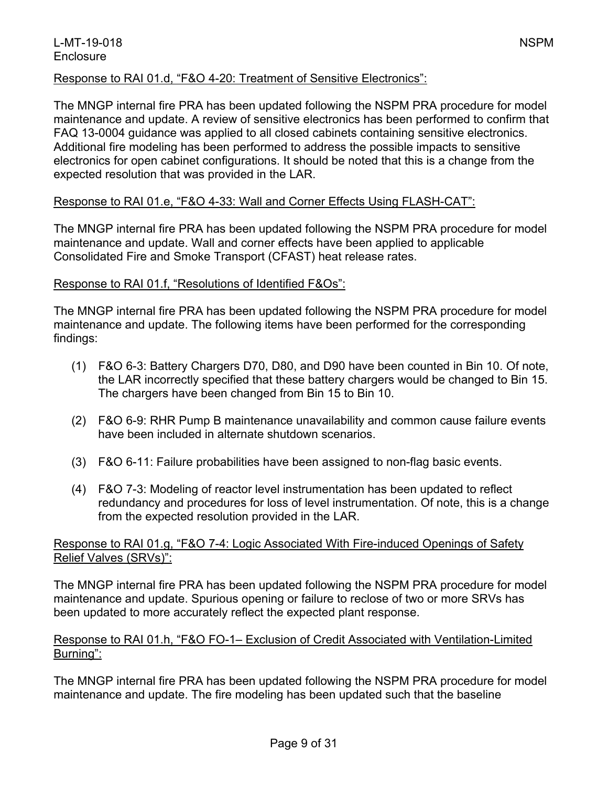# Response to RAI 01.d, "F&O 4-20: Treatment of Sensitive Electronics":

The MNGP internal fire PRA has been updated following the NSPM PRA procedure for model maintenance and update. A review of sensitive electronics has been performed to confirm that FAQ 13-0004 guidance was applied to all closed cabinets containing sensitive electronics. Additional fire modeling has been performed to address the possible impacts to sensitive electronics for open cabinet configurations. It should be noted that this is a change from the expected resolution that was provided in the LAR.

# Response to RAI 01.e, "F&O 4-33: Wall and Corner Effects Using FLASH-CAT":

The MNGP internal fire PRA has been updated following the NSPM PRA procedure for model maintenance and update. Wall and corner effects have been applied to applicable Consolidated Fire and Smoke Transport (CFAST) heat release rates.

#### Response to RAI 01.f, "Resolutions of Identified F&Os":

The MNGP internal fire PRA has been updated following the NSPM PRA procedure for model maintenance and update. The following items have been performed for the corresponding findings:

- (1) F&O 6-3: Battery Chargers D70, D80, and D90 have been counted in Bin 10. Of note, the LAR incorrectly specified that these battery chargers would be changed to Bin 15. The chargers have been changed from Bin 15 to Bin 10.
- (2) F&O 6-9: RHR Pump B maintenance unavailability and common cause failure events have been included in alternate shutdown scenarios.
- (3) F&O 6-11: Failure probabilities have been assigned to non-flag basic events.
- (4) F&O 7-3: Modeling of reactor level instrumentation has been updated to reflect redundancy and procedures for loss of level instrumentation. Of note, this is a change from the expected resolution provided in the LAR.

# Response to RAI 01.g, "F&O 7-4: Logic Associated With Fire-induced Openings of Safety Relief Valves (SRVs)":

The MNGP internal fire PRA has been updated following the NSPM PRA procedure for model maintenance and update. Spurious opening or failure to reclose of two or more SRVs has been updated to more accurately reflect the expected plant response.

# Response to RAI 01.h, "F&O FO-1– Exclusion of Credit Associated with Ventilation-Limited Burning":

The MNGP internal fire PRA has been updated following the NSPM PRA procedure for model maintenance and update. The fire modeling has been updated such that the baseline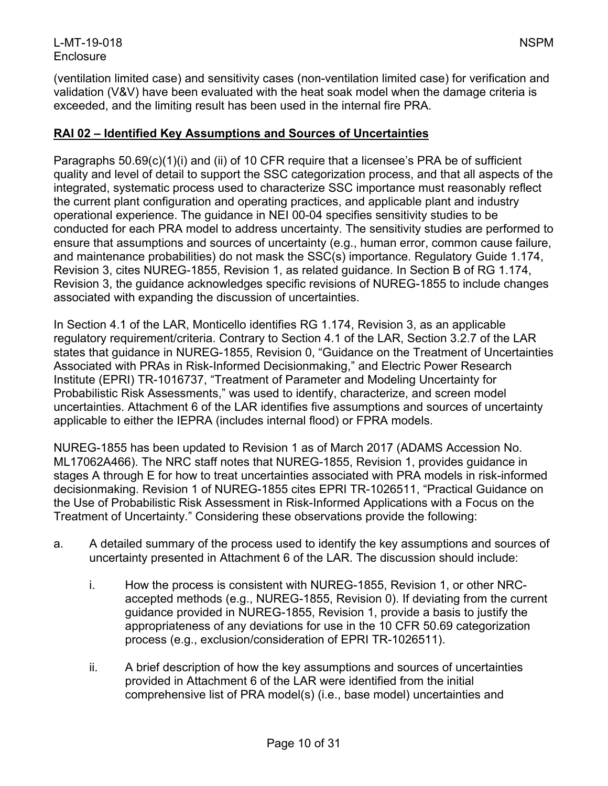(ventilation limited case) and sensitivity cases (non-ventilation limited case) for verification and validation (V&V) have been evaluated with the heat soak model when the damage criteria is exceeded, and the limiting result has been used in the internal fire PRA.

# **RAI 02 – Identified Key Assumptions and Sources of Uncertainties**

Paragraphs 50.69(c)(1)(i) and (ii) of 10 CFR require that a licensee's PRA be of sufficient quality and level of detail to support the SSC categorization process, and that all aspects of the integrated, systematic process used to characterize SSC importance must reasonably reflect the current plant configuration and operating practices, and applicable plant and industry operational experience. The guidance in NEI 00-04 specifies sensitivity studies to be conducted for each PRA model to address uncertainty. The sensitivity studies are performed to ensure that assumptions and sources of uncertainty (e.g., human error, common cause failure, and maintenance probabilities) do not mask the SSC(s) importance. Regulatory Guide 1.174, Revision 3, cites NUREG-1855, Revision 1, as related guidance. In Section B of RG 1.174, Revision 3, the guidance acknowledges specific revisions of NUREG-1855 to include changes associated with expanding the discussion of uncertainties.

In Section 4.1 of the LAR, Monticello identifies RG 1.174, Revision 3, as an applicable regulatory requirement/criteria. Contrary to Section 4.1 of the LAR, Section 3.2.7 of the LAR states that guidance in NUREG-1855, Revision 0, "Guidance on the Treatment of Uncertainties Associated with PRAs in Risk-Informed Decisionmaking," and Electric Power Research Institute (EPRI) TR-1016737, "Treatment of Parameter and Modeling Uncertainty for Probabilistic Risk Assessments," was used to identify, characterize, and screen model uncertainties. Attachment 6 of the LAR identifies five assumptions and sources of uncertainty applicable to either the IEPRA (includes internal flood) or FPRA models.

NUREG-1855 has been updated to Revision 1 as of March 2017 (ADAMS Accession No. ML17062A466). The NRC staff notes that NUREG-1855, Revision 1, provides guidance in stages A through E for how to treat uncertainties associated with PRA models in risk-informed decisionmaking. Revision 1 of NUREG-1855 cites EPRI TR-1026511, "Practical Guidance on the Use of Probabilistic Risk Assessment in Risk-Informed Applications with a Focus on the Treatment of Uncertainty." Considering these observations provide the following:

- a. A detailed summary of the process used to identify the key assumptions and sources of uncertainty presented in Attachment 6 of the LAR. The discussion should include:
	- i. How the process is consistent with NUREG-1855, Revision 1, or other NRCaccepted methods (e.g., NUREG-1855, Revision 0). If deviating from the current guidance provided in NUREG-1855, Revision 1, provide a basis to justify the appropriateness of any deviations for use in the 10 CFR 50.69 categorization process (e.g., exclusion/consideration of EPRI TR-1026511).
	- ii. A brief description of how the key assumptions and sources of uncertainties provided in Attachment 6 of the LAR were identified from the initial comprehensive list of PRA model(s) (i.e., base model) uncertainties and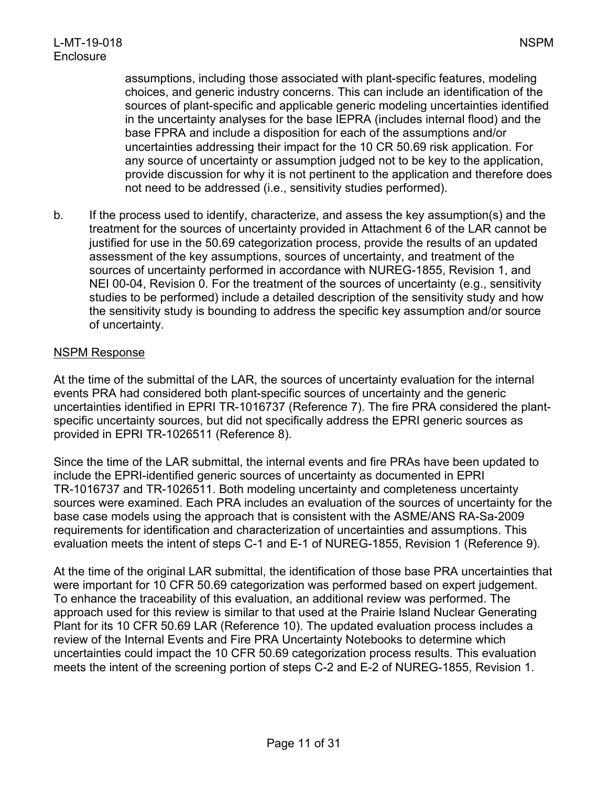assumptions, including those associated with plant-specific features, modeling choices, and generic industry concerns. This can include an identification of the sources of plant-specific and applicable generic modeling uncertainties identified in the uncertainty analyses for the base IEPRA (includes internal flood) and the base FPRA and include a disposition for each of the assumptions and/or uncertainties addressing their impact for the 10 CR 50.69 risk application. For any source of uncertainty or assumption judged not to be key to the application, provide discussion for why it is not pertinent to the application and therefore does not need to be addressed (i.e., sensitivity studies performed).

b. If the process used to identify, characterize, and assess the key assumption(s) and the treatment for the sources of uncertainty provided in Attachment 6 of the LAR cannot be justified for use in the 50.69 categorization process, provide the results of an updated assessment of the key assumptions, sources of uncertainty, and treatment of the sources of uncertainty performed in accordance with NUREG-1855, Revision 1, and NEI 00-04, Revision 0. For the treatment of the sources of uncertainty (e.g., sensitivity studies to be performed) include a detailed description of the sensitivity study and how the sensitivity study is bounding to address the specific key assumption and/or source of uncertainty.

#### NSPM Response

At the time of the submittal of the LAR, the sources of uncertainty evaluation for the internal events PRA had considered both plant-specific sources of uncertainty and the generic uncertainties identified in EPRI TR-1016737 (Reference 7). The fire PRA considered the plantspecific uncertainty sources, but did not specifically address the EPRI generic sources as provided in EPRI TR-1026511 (Reference 8).

Since the time of the LAR submittal, the internal events and fire PRAs have been updated to include the EPRI-identified generic sources of uncertainty as documented in EPRI TR-1016737 and TR-1026511. Both modeling uncertainty and completeness uncertainty sources were examined. Each PRA includes an evaluation of the sources of uncertainty for the base case models using the approach that is consistent with the ASME/ANS RA-Sa-2009 requirements for identification and characterization of uncertainties and assumptions. This evaluation meets the intent of steps C-1 and E-1 of NUREG-1855, Revision 1 (Reference 9).

At the time of the original LAR submittal, the identification of those base PRA uncertainties that were important for 10 CFR 50.69 categorization was performed based on expert judgement. To enhance the traceability of this evaluation, an additional review was performed. The approach used for this review is similar to that used at the Prairie Island Nuclear Generating Plant for its 10 CFR 50.69 LAR (Reference 10). The updated evaluation process includes a review of the Internal Events and Fire PRA Uncertainty Notebooks to determine which uncertainties could impact the 10 CFR 50.69 categorization process results. This evaluation meets the intent of the screening portion of steps C-2 and E-2 of NUREG-1855, Revision 1.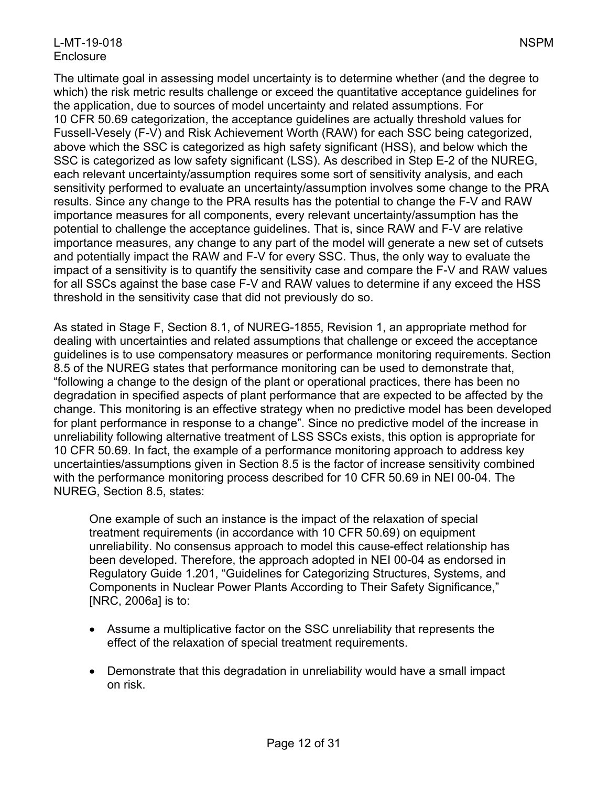# L-MT-19-018 NSPM **Enclosure**

The ultimate goal in assessing model uncertainty is to determine whether (and the degree to which) the risk metric results challenge or exceed the quantitative acceptance guidelines for the application, due to sources of model uncertainty and related assumptions. For 10 CFR 50.69 categorization, the acceptance guidelines are actually threshold values for Fussell-Vesely (F-V) and Risk Achievement Worth (RAW) for each SSC being categorized, above which the SSC is categorized as high safety significant (HSS), and below which the SSC is categorized as low safety significant (LSS). As described in Step E-2 of the NUREG, each relevant uncertainty/assumption requires some sort of sensitivity analysis, and each sensitivity performed to evaluate an uncertainty/assumption involves some change to the PRA results. Since any change to the PRA results has the potential to change the F-V and RAW importance measures for all components, every relevant uncertainty/assumption has the potential to challenge the acceptance guidelines. That is, since RAW and F-V are relative importance measures, any change to any part of the model will generate a new set of cutsets and potentially impact the RAW and F-V for every SSC. Thus, the only way to evaluate the impact of a sensitivity is to quantify the sensitivity case and compare the F-V and RAW values for all SSCs against the base case F-V and RAW values to determine if any exceed the HSS threshold in the sensitivity case that did not previously do so.

As stated in Stage F, Section 8.1, of NUREG-1855, Revision 1, an appropriate method for dealing with uncertainties and related assumptions that challenge or exceed the acceptance guidelines is to use compensatory measures or performance monitoring requirements. Section 8.5 of the NUREG states that performance monitoring can be used to demonstrate that, "following a change to the design of the plant or operational practices, there has been no degradation in specified aspects of plant performance that are expected to be affected by the change. This monitoring is an effective strategy when no predictive model has been developed for plant performance in response to a change". Since no predictive model of the increase in unreliability following alternative treatment of LSS SSCs exists, this option is appropriate for 10 CFR 50.69. In fact, the example of a performance monitoring approach to address key uncertainties/assumptions given in Section 8.5 is the factor of increase sensitivity combined with the performance monitoring process described for 10 CFR 50.69 in NEI 00-04. The NUREG, Section 8.5, states:

One example of such an instance is the impact of the relaxation of special treatment requirements (in accordance with 10 CFR 50.69) on equipment unreliability. No consensus approach to model this cause-effect relationship has been developed. Therefore, the approach adopted in NEI 00-04 as endorsed in Regulatory Guide 1.201, "Guidelines for Categorizing Structures, Systems, and Components in Nuclear Power Plants According to Their Safety Significance," [NRC, 2006a] is to:

- Assume a multiplicative factor on the SSC unreliability that represents the effect of the relaxation of special treatment requirements.
- Demonstrate that this degradation in unreliability would have a small impact on risk.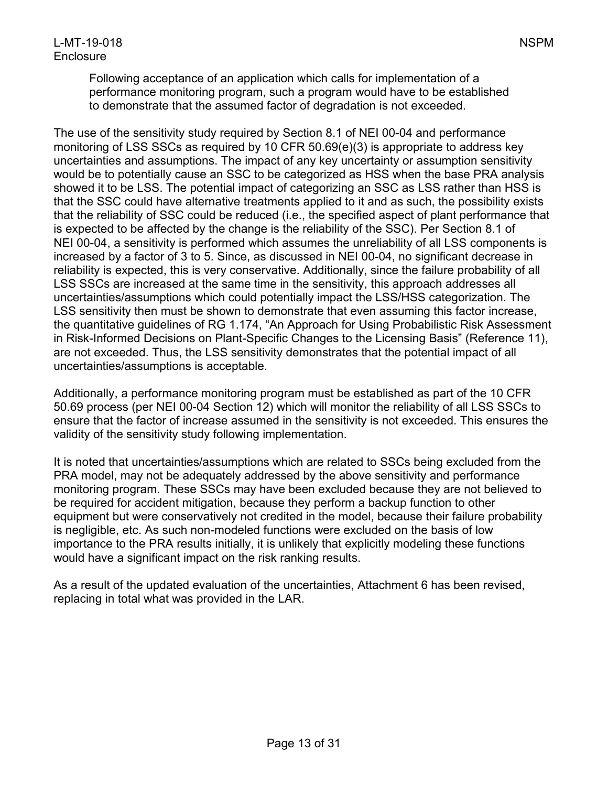Following acceptance of an application which calls for implementation of a performance monitoring program, such a program would have to be established to demonstrate that the assumed factor of degradation is not exceeded.

The use of the sensitivity study required by Section 8.1 of NEI 00-04 and performance monitoring of LSS SSCs as required by 10 CFR 50.69(e)(3) is appropriate to address key uncertainties and assumptions. The impact of any key uncertainty or assumption sensitivity would be to potentially cause an SSC to be categorized as HSS when the base PRA analysis showed it to be LSS. The potential impact of categorizing an SSC as LSS rather than HSS is that the SSC could have alternative treatments applied to it and as such, the possibility exists that the reliability of SSC could be reduced (i.e., the specified aspect of plant performance that is expected to be affected by the change is the reliability of the SSC). Per Section 8.1 of NEI 00-04, a sensitivity is performed which assumes the unreliability of all LSS components is increased by a factor of 3 to 5. Since, as discussed in NEI 00-04, no significant decrease in reliability is expected, this is very conservative. Additionally, since the failure probability of all LSS SSCs are increased at the same time in the sensitivity, this approach addresses all uncertainties/assumptions which could potentially impact the LSS/HSS categorization. The LSS sensitivity then must be shown to demonstrate that even assuming this factor increase, the quantitative guidelines of RG 1.174, "An Approach for Using Probabilistic Risk Assessment in Risk-Informed Decisions on Plant-Specific Changes to the Licensing Basis" (Reference 11), are not exceeded. Thus, the LSS sensitivity demonstrates that the potential impact of all uncertainties/assumptions is acceptable.

Additionally, a performance monitoring program must be established as part of the 10 CFR 50.69 process (per NEI 00-04 Section 12) which will monitor the reliability of all LSS SSCs to ensure that the factor of increase assumed in the sensitivity is not exceeded. This ensures the validity of the sensitivity study following implementation.

It is noted that uncertainties/assumptions which are related to SSCs being excluded from the PRA model, may not be adequately addressed by the above sensitivity and performance monitoring program. These SSCs may have been excluded because they are not believed to be required for accident mitigation, because they perform a backup function to other equipment but were conservatively not credited in the model, because their failure probability is negligible, etc. As such non-modeled functions were excluded on the basis of low importance to the PRA results initially, it is unlikely that explicitly modeling these functions would have a significant impact on the risk ranking results.

As a result of the updated evaluation of the uncertainties, Attachment 6 has been revised, replacing in total what was provided in the LAR.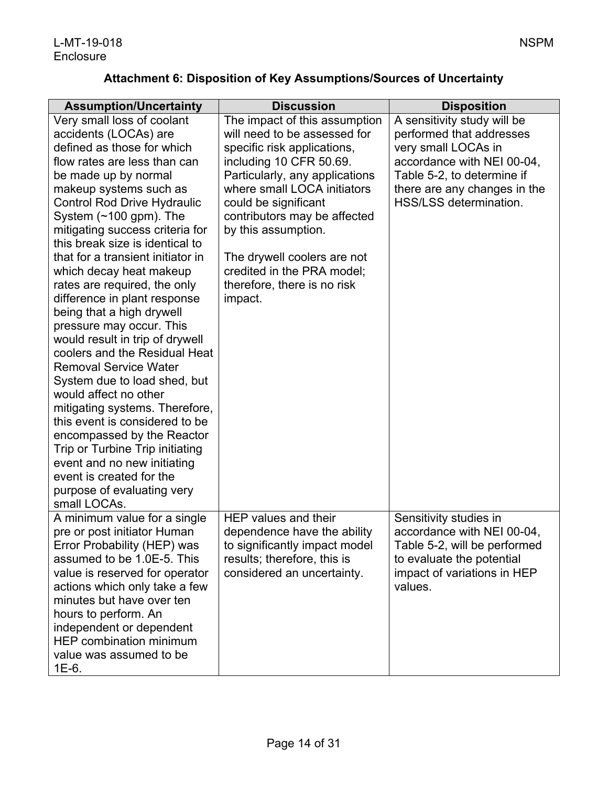# **Attachment 6: Disposition of Key Assumptions/Sources of Uncertainty**

| <b>Assumption/Uncertainty</b>                                                                                                                                                                                                                                                                                                                                                                                                                                                                                                                                                                                                                                                                                                                                                                                                                                                                                       | <b>Discussion</b>                                                                                                                                                                                                                                                                                                                                                              | <b>Disposition</b>                                                                                                                                                                                   |
|---------------------------------------------------------------------------------------------------------------------------------------------------------------------------------------------------------------------------------------------------------------------------------------------------------------------------------------------------------------------------------------------------------------------------------------------------------------------------------------------------------------------------------------------------------------------------------------------------------------------------------------------------------------------------------------------------------------------------------------------------------------------------------------------------------------------------------------------------------------------------------------------------------------------|--------------------------------------------------------------------------------------------------------------------------------------------------------------------------------------------------------------------------------------------------------------------------------------------------------------------------------------------------------------------------------|------------------------------------------------------------------------------------------------------------------------------------------------------------------------------------------------------|
| Very small loss of coolant<br>accidents (LOCAs) are<br>defined as those for which<br>flow rates are less than can<br>be made up by normal<br>makeup systems such as<br><b>Control Rod Drive Hydraulic</b><br>System $(\sim 100$ gpm). The<br>mitigating success criteria for<br>this break size is identical to<br>that for a transient initiator in<br>which decay heat makeup<br>rates are required, the only<br>difference in plant response<br>being that a high drywell<br>pressure may occur. This<br>would result in trip of drywell<br>coolers and the Residual Heat<br><b>Removal Service Water</b><br>System due to load shed, but<br>would affect no other<br>mitigating systems. Therefore,<br>this event is considered to be<br>encompassed by the Reactor<br>Trip or Turbine Trip initiating<br>event and no new initiating<br>event is created for the<br>purpose of evaluating very<br>small LOCAs. | The impact of this assumption<br>will need to be assessed for<br>specific risk applications,<br>including 10 CFR 50.69.<br>Particularly, any applications<br>where small LOCA initiators<br>could be significant<br>contributors may be affected<br>by this assumption.<br>The drywell coolers are not<br>credited in the PRA model;<br>therefore, there is no risk<br>impact. | A sensitivity study will be<br>performed that addresses<br>very small LOCAs in<br>accordance with NEI 00-04,<br>Table 5-2, to determine if<br>there are any changes in the<br>HSS/LSS determination. |
| A minimum value for a single<br>pre or post initiator Human<br>Error Probability (HEP) was<br>assumed to be 1.0E-5. This<br>value is reserved for operator<br>actions which only take a few<br>minutes but have over ten<br>hours to perform. An<br>independent or dependent<br><b>HEP combination minimum</b><br>value was assumed to be<br>$1E-6.$                                                                                                                                                                                                                                                                                                                                                                                                                                                                                                                                                                | HEP values and their<br>dependence have the ability<br>to significantly impact model<br>results; therefore, this is<br>considered an uncertainty.                                                                                                                                                                                                                              | Sensitivity studies in<br>accordance with NEI 00-04,<br>Table 5-2, will be performed<br>to evaluate the potential<br>impact of variations in HEP<br>values.                                          |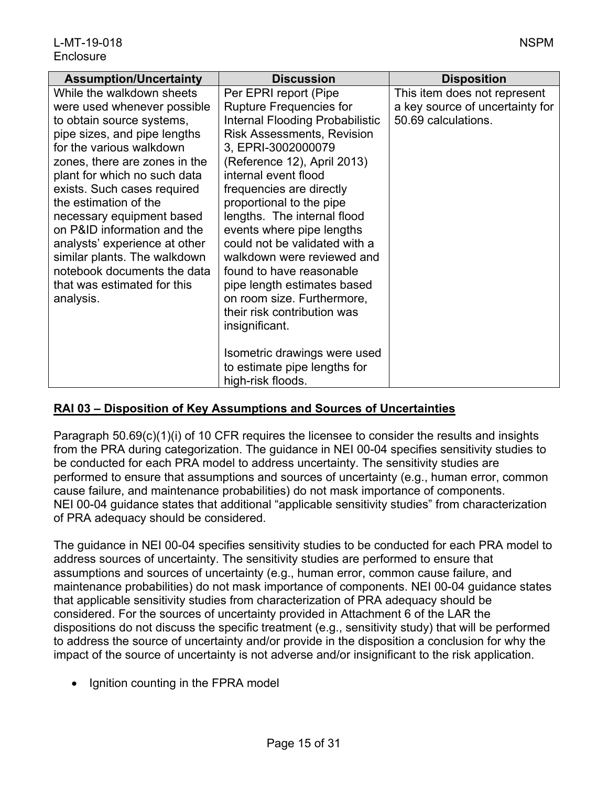| <b>Assumption/Uncertainty</b>                                                                                                                                                                                                                                                                                                                                                                                                                                                      | <b>Discussion</b>                                                                                                                                                                                                                                                                                                                                                                                                                                                                                                                                                                                                              | <b>Disposition</b>                                                                     |
|------------------------------------------------------------------------------------------------------------------------------------------------------------------------------------------------------------------------------------------------------------------------------------------------------------------------------------------------------------------------------------------------------------------------------------------------------------------------------------|--------------------------------------------------------------------------------------------------------------------------------------------------------------------------------------------------------------------------------------------------------------------------------------------------------------------------------------------------------------------------------------------------------------------------------------------------------------------------------------------------------------------------------------------------------------------------------------------------------------------------------|----------------------------------------------------------------------------------------|
| While the walkdown sheets<br>were used whenever possible<br>to obtain source systems,<br>pipe sizes, and pipe lengths<br>for the various walkdown<br>zones, there are zones in the<br>plant for which no such data<br>exists. Such cases required<br>the estimation of the<br>necessary equipment based<br>on P&ID information and the<br>analysts' experience at other<br>similar plants. The walkdown<br>notebook documents the data<br>that was estimated for this<br>analysis. | Per EPRI report (Pipe<br><b>Rupture Frequencies for</b><br>Internal Flooding Probabilistic<br><b>Risk Assessments, Revision</b><br>3, EPRI-3002000079<br>(Reference 12), April 2013)<br>internal event flood<br>frequencies are directly<br>proportional to the pipe<br>lengths. The internal flood<br>events where pipe lengths<br>could not be validated with a<br>walkdown were reviewed and<br>found to have reasonable<br>pipe length estimates based<br>on room size. Furthermore,<br>their risk contribution was<br>insignificant.<br>Isometric drawings were used<br>to estimate pipe lengths for<br>high-risk floods. | This item does not represent<br>a key source of uncertainty for<br>50.69 calculations. |

# **RAI 03 – Disposition of Key Assumptions and Sources of Uncertainties**

Paragraph 50.69(c)(1)(i) of 10 CFR requires the licensee to consider the results and insights from the PRA during categorization. The guidance in NEI 00-04 specifies sensitivity studies to be conducted for each PRA model to address uncertainty. The sensitivity studies are performed to ensure that assumptions and sources of uncertainty (e.g., human error, common cause failure, and maintenance probabilities) do not mask importance of components. NEI 00-04 guidance states that additional "applicable sensitivity studies" from characterization of PRA adequacy should be considered.

The guidance in NEI 00-04 specifies sensitivity studies to be conducted for each PRA model to address sources of uncertainty. The sensitivity studies are performed to ensure that assumptions and sources of uncertainty (e.g., human error, common cause failure, and maintenance probabilities) do not mask importance of components. NEI 00-04 guidance states that applicable sensitivity studies from characterization of PRA adequacy should be considered. For the sources of uncertainty provided in Attachment 6 of the LAR the dispositions do not discuss the specific treatment (e.g., sensitivity study) that will be performed to address the source of uncertainty and/or provide in the disposition a conclusion for why the impact of the source of uncertainty is not adverse and/or insignificant to the risk application.

• Ignition counting in the FPRA model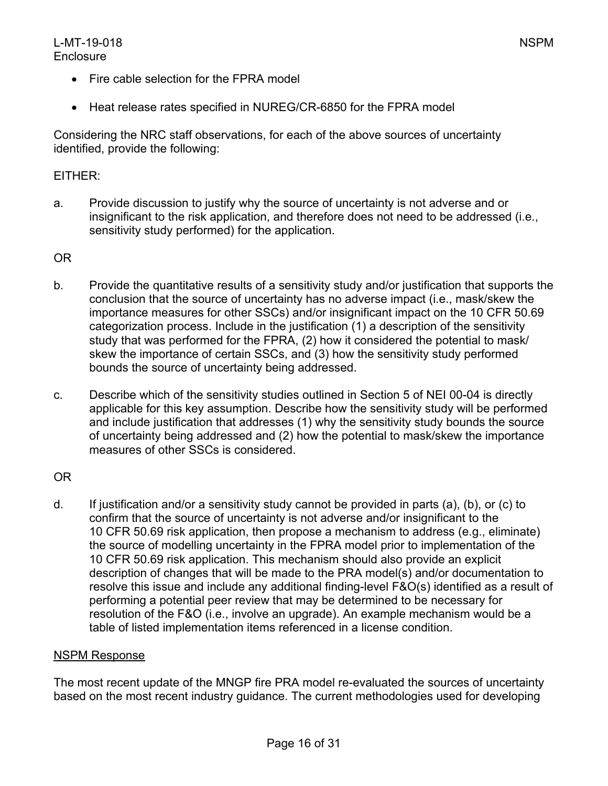- Fire cable selection for the FPRA model
- Heat release rates specified in NUREG/CR-6850 for the FPRA model

Considering the NRC staff observations, for each of the above sources of uncertainty identified, provide the following:

# EITHER:

a. Provide discussion to justify why the source of uncertainty is not adverse and or insignificant to the risk application, and therefore does not need to be addressed (i.e., sensitivity study performed) for the application.

# OR

- b. Provide the quantitative results of a sensitivity study and/or justification that supports the conclusion that the source of uncertainty has no adverse impact (i.e., mask/skew the importance measures for other SSCs) and/or insignificant impact on the 10 CFR 50.69 categorization process. Include in the justification (1) a description of the sensitivity study that was performed for the FPRA, (2) how it considered the potential to mask/ skew the importance of certain SSCs, and (3) how the sensitivity study performed bounds the source of uncertainty being addressed.
- c. Describe which of the sensitivity studies outlined in Section 5 of NEI 00-04 is directly applicable for this key assumption. Describe how the sensitivity study will be performed and include justification that addresses (1) why the sensitivity study bounds the source of uncertainty being addressed and (2) how the potential to mask/skew the importance measures of other SSCs is considered.

# OR

d. If justification and/or a sensitivity study cannot be provided in parts (a), (b), or (c) to confirm that the source of uncertainty is not adverse and/or insignificant to the 10 CFR 50.69 risk application, then propose a mechanism to address (e.g., eliminate) the source of modelling uncertainty in the FPRA model prior to implementation of the 10 CFR 50.69 risk application. This mechanism should also provide an explicit description of changes that will be made to the PRA model(s) and/or documentation to resolve this issue and include any additional finding-level F&O(s) identified as a result of performing a potential peer review that may be determined to be necessary for resolution of the F&O (i.e., involve an upgrade). An example mechanism would be a table of listed implementation items referenced in a license condition.

#### NSPM Response

The most recent update of the MNGP fire PRA model re-evaluated the sources of uncertainty based on the most recent industry guidance. The current methodologies used for developing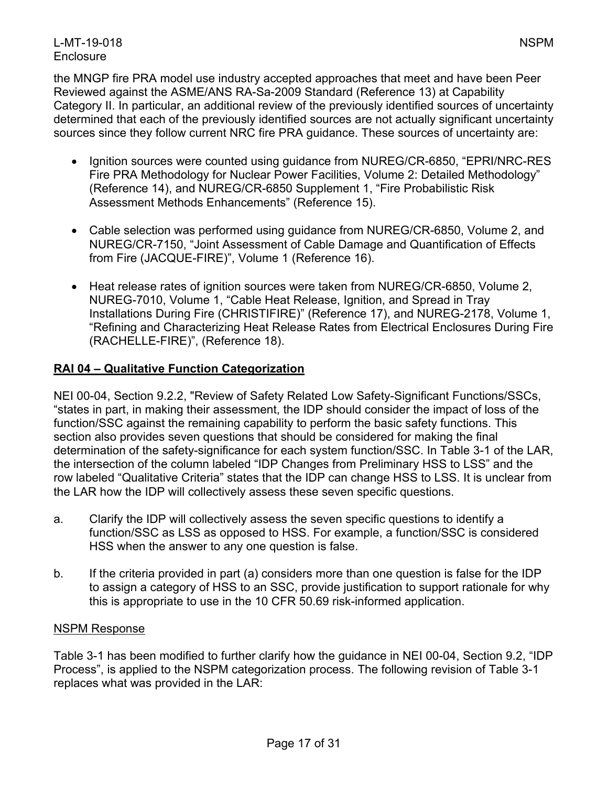#### L-MT-19-018 NSPM **Enclosure**

the MNGP fire PRA model use industry accepted approaches that meet and have been Peer Reviewed against the ASME/ANS RA-Sa-2009 Standard (Reference 13) at Capability Category II. In particular, an additional review of the previously identified sources of uncertainty determined that each of the previously identified sources are not actually significant uncertainty sources since they follow current NRC fire PRA guidance. These sources of uncertainty are:

- Ignition sources were counted using guidance from NUREG/CR-6850, "EPRI/NRC-RES Fire PRA Methodology for Nuclear Power Facilities, Volume 2: Detailed Methodology" (Reference 14), and NUREG/CR-6850 Supplement 1, "Fire Probabilistic Risk Assessment Methods Enhancements" (Reference 15).
- Cable selection was performed using guidance from NUREG/CR-6850, Volume 2, and NUREG/CR-7150, "Joint Assessment of Cable Damage and Quantification of Effects from Fire (JACQUE-FIRE)", Volume 1 (Reference 16).
- Heat release rates of ignition sources were taken from NUREG/CR-6850, Volume 2, NUREG-7010, Volume 1, "Cable Heat Release, Ignition, and Spread in Tray Installations During Fire (CHRISTIFIRE)" (Reference 17), and NUREG-2178, Volume 1, "Refining and Characterizing Heat Release Rates from Electrical Enclosures During Fire (RACHELLE-FIRE)", (Reference 18).

# **RAI 04 – Qualitative Function Categorization**

NEI 00-04, Section 9.2.2, "Review of Safety Related Low Safety-Significant Functions/SSCs, "states in part, in making their assessment, the IDP should consider the impact of loss of the function/SSC against the remaining capability to perform the basic safety functions. This section also provides seven questions that should be considered for making the final determination of the safety-significance for each system function/SSC. In Table 3-1 of the LAR, the intersection of the column labeled "IDP Changes from Preliminary HSS to LSS" and the row labeled "Qualitative Criteria" states that the IDP can change HSS to LSS. It is unclear from the LAR how the IDP will collectively assess these seven specific questions.

- a. Clarify the IDP will collectively assess the seven specific questions to identify a function/SSC as LSS as opposed to HSS. For example, a function/SSC is considered HSS when the answer to any one question is false.
- b. If the criteria provided in part (a) considers more than one question is false for the IDP to assign a category of HSS to an SSC, provide justification to support rationale for why this is appropriate to use in the 10 CFR 50.69 risk-informed application.

#### NSPM Response

Table 3-1 has been modified to further clarify how the guidance in NEI 00-04, Section 9.2, "IDP Process", is applied to the NSPM categorization process. The following revision of Table 3-1 replaces what was provided in the LAR: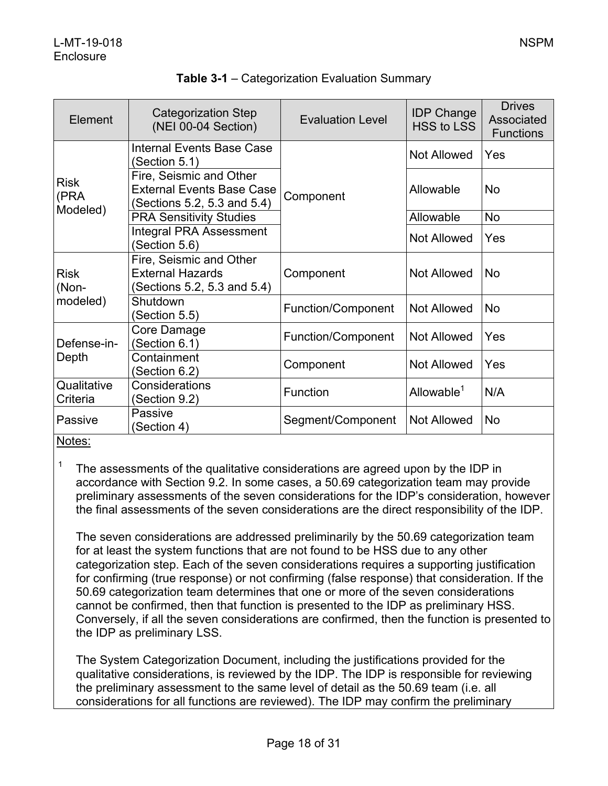| Element                   | <b>Categorization Step</b><br>(NEI 00-04 Section)                                          | <b>Evaluation Level</b> | <b>IDP Change</b><br><b>HSS to LSS</b> | <b>Drives</b><br>Associated<br><b>Functions</b> |
|---------------------------|--------------------------------------------------------------------------------------------|-------------------------|----------------------------------------|-------------------------------------------------|
| Risk<br>(PRA<br>Modeled)  | <b>Internal Events Base Case</b><br>(Section 5.1)                                          |                         | Not Allowed                            | Yes                                             |
|                           | Fire, Seismic and Other<br><b>External Events Base Case</b><br>(Sections 5.2, 5.3 and 5.4) | Component               | Allowable                              | <b>No</b>                                       |
|                           | <b>PRA Sensitivity Studies</b>                                                             |                         | Allowable                              | <b>No</b>                                       |
|                           | <b>Integral PRA Assessment</b><br>(Section 5.6)                                            |                         | <b>Not Allowed</b>                     | Yes                                             |
| Risk<br>(Non-<br>modeled) | Fire, Seismic and Other<br><b>External Hazards</b><br>(Sections 5.2, 5.3 and 5.4)          | Component               | <b>Not Allowed</b>                     | <b>No</b>                                       |
|                           | Shutdown<br>(Section 5.5)                                                                  | Function/Component      | <b>Not Allowed</b>                     | <b>No</b>                                       |
| Defense-in-<br>Depth      | Core Damage<br>(Section 6.1)                                                               | Function/Component      | <b>Not Allowed</b>                     | Yes                                             |
|                           | Containment<br>(Section 6.2)                                                               | Component               | <b>Not Allowed</b>                     | Yes                                             |
| Qualitative<br>Criteria   | Considerations<br>(Section 9.2)                                                            | Function                | Allowable <sup>1</sup>                 | N/A                                             |
| Passive<br>.              | Passive<br>(Section 4)                                                                     | Segment/Component       | <b>Not Allowed</b>                     | <b>No</b>                                       |

# **Table 3-1** – Categorization Evaluation Summary

Notes:

<sup>1</sup> The assessments of the qualitative considerations are agreed upon by the IDP in accordance with Section 9.2. In some cases, a 50.69 categorization team may provide preliminary assessments of the seven considerations for the IDP's consideration, however the final assessments of the seven considerations are the direct responsibility of the IDP.

The seven considerations are addressed preliminarily by the 50.69 categorization team for at least the system functions that are not found to be HSS due to any other categorization step. Each of the seven considerations requires a supporting justification for confirming (true response) or not confirming (false response) that consideration. If the 50.69 categorization team determines that one or more of the seven considerations cannot be confirmed, then that function is presented to the IDP as preliminary HSS. Conversely, if all the seven considerations are confirmed, then the function is presented to the IDP as preliminary LSS.

The System Categorization Document, including the justifications provided for the qualitative considerations, is reviewed by the IDP. The IDP is responsible for reviewing the preliminary assessment to the same level of detail as the 50.69 team (i.e. all considerations for all functions are reviewed). The IDP may confirm the preliminary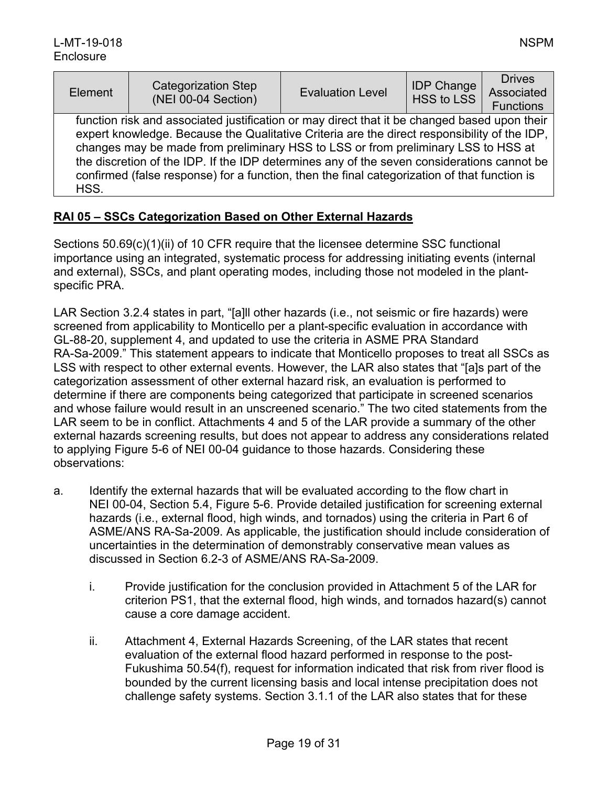| Element                                                                                                                                                                                                                                                                                                                                                                                                                                                                                 | <b>Categorization Step</b><br>(NEI 00-04 Section) | <b>Evaluation Level</b> | <b>IDP Change</b><br>HSS to LSS | <b>Drives</b><br>Associated<br><b>Functions</b> |  |  |
|-----------------------------------------------------------------------------------------------------------------------------------------------------------------------------------------------------------------------------------------------------------------------------------------------------------------------------------------------------------------------------------------------------------------------------------------------------------------------------------------|---------------------------------------------------|-------------------------|---------------------------------|-------------------------------------------------|--|--|
| function risk and associated justification or may direct that it be changed based upon their<br>expert knowledge. Because the Qualitative Criteria are the direct responsibility of the IDP,<br>changes may be made from preliminary HSS to LSS or from preliminary LSS to HSS at<br>the discretion of the IDP. If the IDP determines any of the seven considerations cannot be<br>confirmed (false response) for a function, then the final categorization of that function is<br>HSS. |                                                   |                         |                                 |                                                 |  |  |

# **RAI 05 – SSCs Categorization Based on Other External Hazards**

Sections 50.69(c)(1)(ii) of 10 CFR require that the licensee determine SSC functional importance using an integrated, systematic process for addressing initiating events (internal and external), SSCs, and plant operating modes, including those not modeled in the plantspecific PRA.

LAR Section 3.2.4 states in part, "[a]ll other hazards (i.e., not seismic or fire hazards) were screened from applicability to Monticello per a plant-specific evaluation in accordance with GL-88-20, supplement 4, and updated to use the criteria in ASME PRA Standard RA-Sa-2009." This statement appears to indicate that Monticello proposes to treat all SSCs as LSS with respect to other external events. However, the LAR also states that "[a]s part of the categorization assessment of other external hazard risk, an evaluation is performed to determine if there are components being categorized that participate in screened scenarios and whose failure would result in an unscreened scenario." The two cited statements from the LAR seem to be in conflict. Attachments 4 and 5 of the LAR provide a summary of the other external hazards screening results, but does not appear to address any considerations related to applying Figure 5-6 of NEI 00-04 guidance to those hazards. Considering these observations:

- a. Identify the external hazards that will be evaluated according to the flow chart in NEI 00-04, Section 5.4, Figure 5-6. Provide detailed justification for screening external hazards (i.e., external flood, high winds, and tornados) using the criteria in Part 6 of ASME/ANS RA-Sa-2009. As applicable, the justification should include consideration of uncertainties in the determination of demonstrably conservative mean values as discussed in Section 6.2-3 of ASME/ANS RA-Sa-2009.
	- i. Provide justification for the conclusion provided in Attachment 5 of the LAR for criterion PS1, that the external flood, high winds, and tornados hazard(s) cannot cause a core damage accident.
	- ii. Attachment 4, External Hazards Screening, of the LAR states that recent evaluation of the external flood hazard performed in response to the post-Fukushima 50.54(f), request for information indicated that risk from river flood is bounded by the current licensing basis and local intense precipitation does not challenge safety systems. Section 3.1.1 of the LAR also states that for these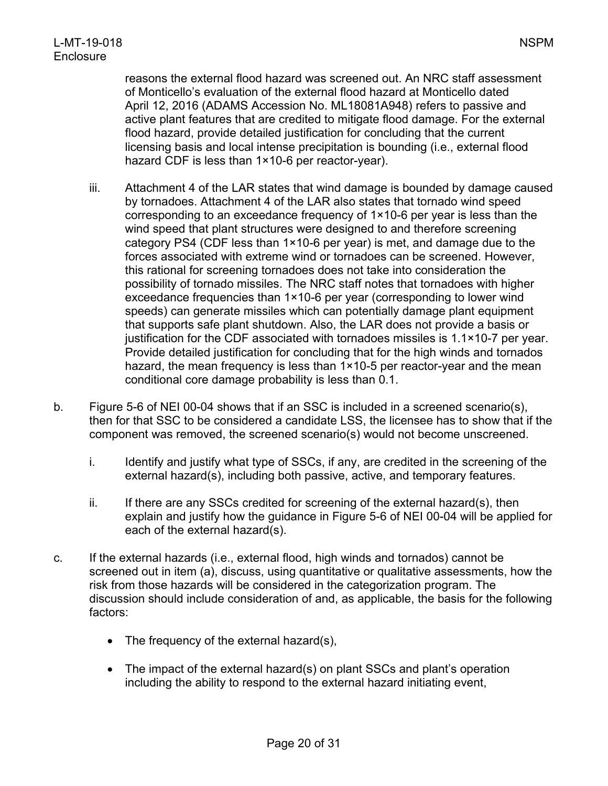reasons the external flood hazard was screened out. An NRC staff assessment of Monticello's evaluation of the external flood hazard at Monticello dated April 12, 2016 (ADAMS Accession No. ML18081A948) refers to passive and active plant features that are credited to mitigate flood damage. For the external flood hazard, provide detailed justification for concluding that the current licensing basis and local intense precipitation is bounding (i.e., external flood hazard CDF is less than 1×10-6 per reactor-year).

- iii. Attachment 4 of the LAR states that wind damage is bounded by damage caused by tornadoes. Attachment 4 of the LAR also states that tornado wind speed corresponding to an exceedance frequency of 1×10-6 per year is less than the wind speed that plant structures were designed to and therefore screening category PS4 (CDF less than 1×10-6 per year) is met, and damage due to the forces associated with extreme wind or tornadoes can be screened. However, this rational for screening tornadoes does not take into consideration the possibility of tornado missiles. The NRC staff notes that tornadoes with higher exceedance frequencies than 1×10-6 per year (corresponding to lower wind speeds) can generate missiles which can potentially damage plant equipment that supports safe plant shutdown. Also, the LAR does not provide a basis or justification for the CDF associated with tornadoes missiles is 1.1×10-7 per year. Provide detailed justification for concluding that for the high winds and tornados hazard, the mean frequency is less than 1×10-5 per reactor-year and the mean conditional core damage probability is less than 0.1.
- b. Figure 5-6 of NEI 00-04 shows that if an SSC is included in a screened scenario(s), then for that SSC to be considered a candidate LSS, the licensee has to show that if the component was removed, the screened scenario(s) would not become unscreened.
	- i. Identify and justify what type of SSCs, if any, are credited in the screening of the external hazard(s), including both passive, active, and temporary features.
	- $ii.$  If there are any SSCs credited for screening of the external hazard(s), then explain and justify how the guidance in Figure 5-6 of NEI 00-04 will be applied for each of the external hazard(s).
- c. If the external hazards (i.e., external flood, high winds and tornados) cannot be screened out in item (a), discuss, using quantitative or qualitative assessments, how the risk from those hazards will be considered in the categorization program. The discussion should include consideration of and, as applicable, the basis for the following factors:
	- The frequency of the external hazard(s),
	- The impact of the external hazard(s) on plant SSCs and plant's operation including the ability to respond to the external hazard initiating event,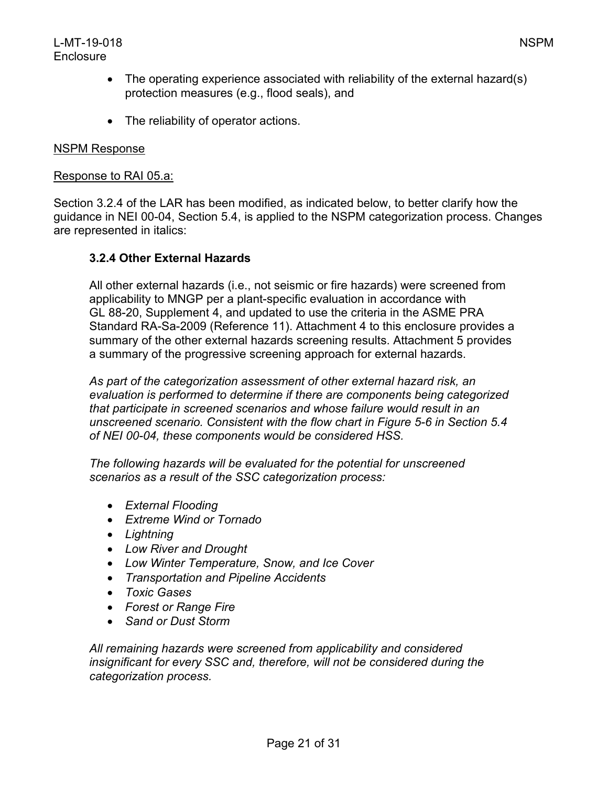- The operating experience associated with reliability of the external hazard(s) protection measures (e.g., flood seals), and
- The reliability of operator actions.

#### NSPM Response

#### Response to RAI 05.a:

Section 3.2.4 of the LAR has been modified, as indicated below, to better clarify how the guidance in NEI 00-04, Section 5.4, is applied to the NSPM categorization process. Changes are represented in italics:

# **3.2.4 Other External Hazards**

All other external hazards (i.e., not seismic or fire hazards) were screened from applicability to MNGP per a plant-specific evaluation in accordance with GL 88-20, Supplement 4, and updated to use the criteria in the ASME PRA Standard RA-Sa-2009 (Reference 11). Attachment 4 to this enclosure provides a summary of the other external hazards screening results. Attachment 5 provides a summary of the progressive screening approach for external hazards.

*As part of the categorization assessment of other external hazard risk, an evaluation is performed to determine if there are components being categorized that participate in screened scenarios and whose failure would result in an unscreened scenario. Consistent with the flow chart in Figure 5-6 in Section 5.4 of NEI 00-04, these components would be considered HSS.*

*The following hazards will be evaluated for the potential for unscreened scenarios as a result of the SSC categorization process:*

- *External Flooding*
- *Extreme Wind or Tornado*
- *Lightning*
- *Low River and Drought*
- *Low Winter Temperature, Snow, and Ice Cover*
- *Transportation and Pipeline Accidents*
- *Toxic Gases*
- *Forest or Range Fire*
- *Sand or Dust Storm*

*All remaining hazards were screened from applicability and considered insignificant for every SSC and, therefore, will not be considered during the categorization process.*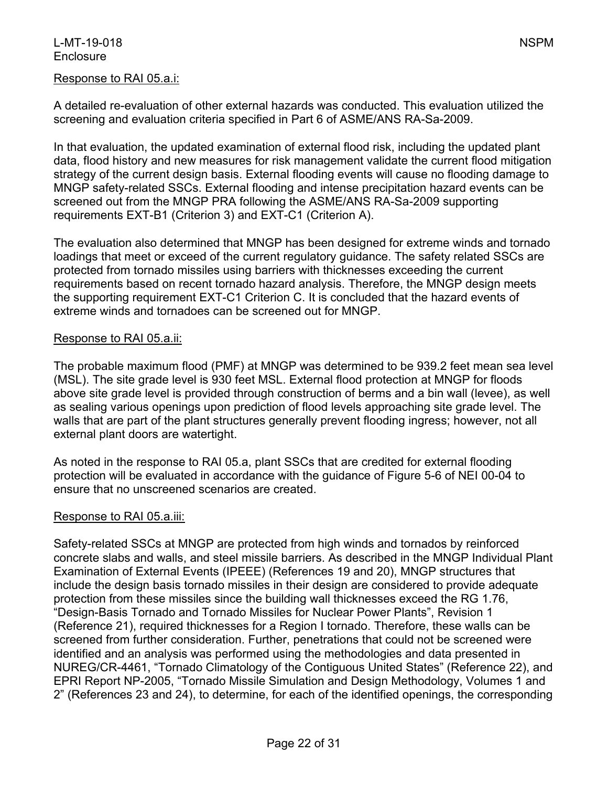#### Response to RAI 05.a.i:

A detailed re-evaluation of other external hazards was conducted. This evaluation utilized the screening and evaluation criteria specified in Part 6 of ASME/ANS RA-Sa-2009.

In that evaluation, the updated examination of external flood risk, including the updated plant data, flood history and new measures for risk management validate the current flood mitigation strategy of the current design basis. External flooding events will cause no flooding damage to MNGP safety-related SSCs. External flooding and intense precipitation hazard events can be screened out from the MNGP PRA following the ASME/ANS RA-Sa-2009 supporting requirements EXT-B1 (Criterion 3) and EXT-C1 (Criterion A).

The evaluation also determined that MNGP has been designed for extreme winds and tornado loadings that meet or exceed of the current regulatory guidance. The safety related SSCs are protected from tornado missiles using barriers with thicknesses exceeding the current requirements based on recent tornado hazard analysis. Therefore, the MNGP design meets the supporting requirement EXT-C1 Criterion C. It is concluded that the hazard events of extreme winds and tornadoes can be screened out for MNGP.

#### Response to RAI 05.a.ii:

The probable maximum flood (PMF) at MNGP was determined to be 939.2 feet mean sea level (MSL). The site grade level is 930 feet MSL. External flood protection at MNGP for floods above site grade level is provided through construction of berms and a bin wall (levee), as well as sealing various openings upon prediction of flood levels approaching site grade level. The walls that are part of the plant structures generally prevent flooding ingress; however, not all external plant doors are watertight.

As noted in the response to RAI 05.a, plant SSCs that are credited for external flooding protection will be evaluated in accordance with the guidance of Figure 5-6 of NEI 00-04 to ensure that no unscreened scenarios are created.

#### Response to RAI 05.a.iii:

Safety-related SSCs at MNGP are protected from high winds and tornados by reinforced concrete slabs and walls, and steel missile barriers. As described in the MNGP Individual Plant Examination of External Events (IPEEE) (References 19 and 20), MNGP structures that include the design basis tornado missiles in their design are considered to provide adequate protection from these missiles since the building wall thicknesses exceed the RG 1.76, "Design-Basis Tornado and Tornado Missiles for Nuclear Power Plants", Revision 1 (Reference 21), required thicknesses for a Region I tornado. Therefore, these walls can be screened from further consideration. Further, penetrations that could not be screened were identified and an analysis was performed using the methodologies and data presented in NUREG/CR-4461, "Tornado Climatology of the Contiguous United States" (Reference 22), and EPRI Report NP-2005, "Tornado Missile Simulation and Design Methodology, Volumes 1 and 2" (References 23 and 24), to determine, for each of the identified openings, the corresponding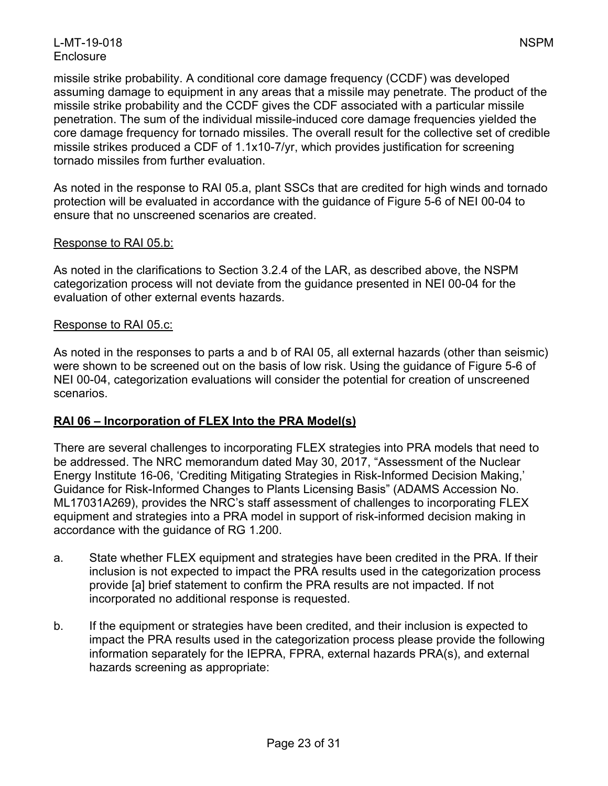missile strike probability. A conditional core damage frequency (CCDF) was developed assuming damage to equipment in any areas that a missile may penetrate. The product of the missile strike probability and the CCDF gives the CDF associated with a particular missile penetration. The sum of the individual missile-induced core damage frequencies yielded the core damage frequency for tornado missiles. The overall result for the collective set of credible missile strikes produced a CDF of 1.1x10-7/yr, which provides justification for screening tornado missiles from further evaluation.

As noted in the response to RAI 05.a, plant SSCs that are credited for high winds and tornado protection will be evaluated in accordance with the guidance of Figure 5-6 of NEI 00-04 to ensure that no unscreened scenarios are created.

# Response to RAI 05.b:

As noted in the clarifications to Section 3.2.4 of the LAR, as described above, the NSPM categorization process will not deviate from the guidance presented in NEI 00-04 for the evaluation of other external events hazards.

#### Response to RAI 05.c:

As noted in the responses to parts a and b of RAI 05, all external hazards (other than seismic) were shown to be screened out on the basis of low risk. Using the guidance of Figure 5-6 of NEI 00-04, categorization evaluations will consider the potential for creation of unscreened scenarios.

# **RAI 06 – Incorporation of FLEX Into the PRA Model(s)**

There are several challenges to incorporating FLEX strategies into PRA models that need to be addressed. The NRC memorandum dated May 30, 2017, "Assessment of the Nuclear Energy Institute 16-06, 'Crediting Mitigating Strategies in Risk-Informed Decision Making,' Guidance for Risk-Informed Changes to Plants Licensing Basis" (ADAMS Accession No. ML17031A269), provides the NRC's staff assessment of challenges to incorporating FLEX equipment and strategies into a PRA model in support of risk-informed decision making in accordance with the guidance of RG 1.200.

- a. State whether FLEX equipment and strategies have been credited in the PRA. If their inclusion is not expected to impact the PRA results used in the categorization process provide [a] brief statement to confirm the PRA results are not impacted. If not incorporated no additional response is requested.
- b. If the equipment or strategies have been credited, and their inclusion is expected to impact the PRA results used in the categorization process please provide the following information separately for the IEPRA, FPRA, external hazards PRA(s), and external hazards screening as appropriate: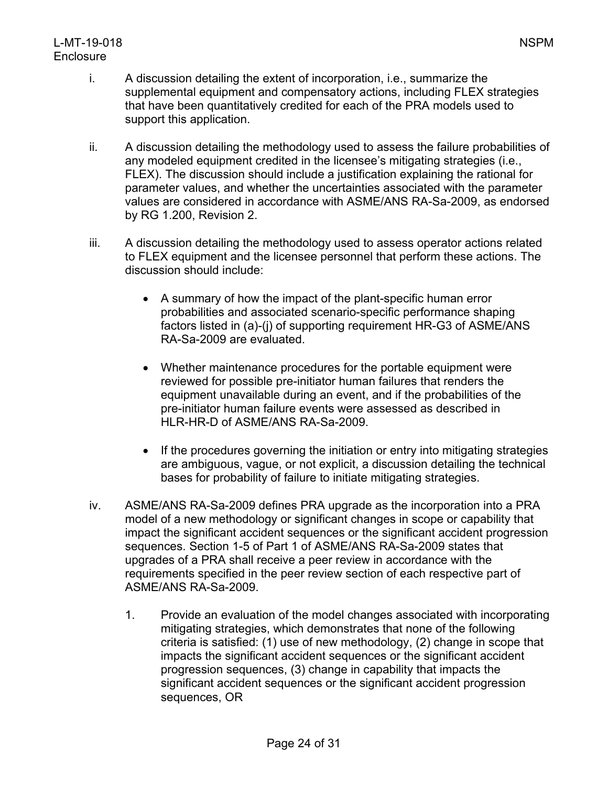# L-MT-19-018 NSPM **Enclosure**

- i. A discussion detailing the extent of incorporation, i.e., summarize the supplemental equipment and compensatory actions, including FLEX strategies that have been quantitatively credited for each of the PRA models used to support this application.
- ii. A discussion detailing the methodology used to assess the failure probabilities of any modeled equipment credited in the licensee's mitigating strategies (i.e., FLEX). The discussion should include a justification explaining the rational for parameter values, and whether the uncertainties associated with the parameter values are considered in accordance with ASME/ANS RA-Sa-2009, as endorsed by RG 1.200, Revision 2.
- iii. A discussion detailing the methodology used to assess operator actions related to FLEX equipment and the licensee personnel that perform these actions. The discussion should include:
	- A summary of how the impact of the plant-specific human error probabilities and associated scenario-specific performance shaping factors listed in (a)-(j) of supporting requirement HR-G3 of ASME/ANS RA-Sa-2009 are evaluated.
	- Whether maintenance procedures for the portable equipment were reviewed for possible pre-initiator human failures that renders the equipment unavailable during an event, and if the probabilities of the pre-initiator human failure events were assessed as described in HLR-HR-D of ASME/ANS RA-Sa-2009.
	- If the procedures governing the initiation or entry into mitigating strategies are ambiguous, vague, or not explicit, a discussion detailing the technical bases for probability of failure to initiate mitigating strategies.
- iv. ASME/ANS RA-Sa-2009 defines PRA upgrade as the incorporation into a PRA model of a new methodology or significant changes in scope or capability that impact the significant accident sequences or the significant accident progression sequences. Section 1-5 of Part 1 of ASME/ANS RA-Sa-2009 states that upgrades of a PRA shall receive a peer review in accordance with the requirements specified in the peer review section of each respective part of ASME/ANS RA-Sa-2009.
	- 1. Provide an evaluation of the model changes associated with incorporating mitigating strategies, which demonstrates that none of the following criteria is satisfied: (1) use of new methodology, (2) change in scope that impacts the significant accident sequences or the significant accident progression sequences, (3) change in capability that impacts the significant accident sequences or the significant accident progression sequences, OR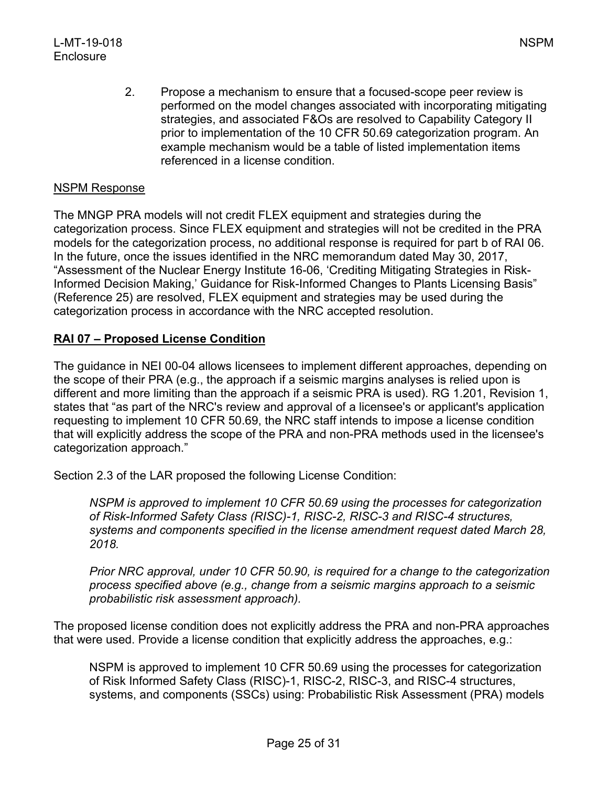#### NSPM Response

The MNGP PRA models will not credit FLEX equipment and strategies during the categorization process. Since FLEX equipment and strategies will not be credited in the PRA models for the categorization process, no additional response is required for part b of RAI 06. In the future, once the issues identified in the NRC memorandum dated May 30, 2017, "Assessment of the Nuclear Energy Institute 16-06, 'Crediting Mitigating Strategies in Risk-Informed Decision Making,' Guidance for Risk-Informed Changes to Plants Licensing Basis" (Reference 25) are resolved, FLEX equipment and strategies may be used during the categorization process in accordance with the NRC accepted resolution.

#### **RAI 07 – Proposed License Condition**

The guidance in NEI 00-04 allows licensees to implement different approaches, depending on the scope of their PRA (e.g., the approach if a seismic margins analyses is relied upon is different and more limiting than the approach if a seismic PRA is used). RG 1.201, Revision 1, states that "as part of the NRC's review and approval of a licensee's or applicant's application requesting to implement 10 CFR 50.69, the NRC staff intends to impose a license condition that will explicitly address the scope of the PRA and non-PRA methods used in the licensee's categorization approach."

Section 2.3 of the LAR proposed the following License Condition:

*NSPM is approved to implement 10 CFR 50.69 using the processes for categorization of Risk-Informed Safety Class (RISC)-1, RISC-2, RISC-3 and RISC-4 structures, systems and components specified in the license amendment request dated March 28, 2018.*

*Prior NRC approval, under 10 CFR 50.90, is required for a change to the categorization process specified above (e.g., change from a seismic margins approach to a seismic probabilistic risk assessment approach).*

The proposed license condition does not explicitly address the PRA and non-PRA approaches that were used. Provide a license condition that explicitly address the approaches, e.g.:

NSPM is approved to implement 10 CFR 50.69 using the processes for categorization of Risk Informed Safety Class (RISC)-1, RISC-2, RISC-3, and RISC-4 structures, systems, and components (SSCs) using: Probabilistic Risk Assessment (PRA) models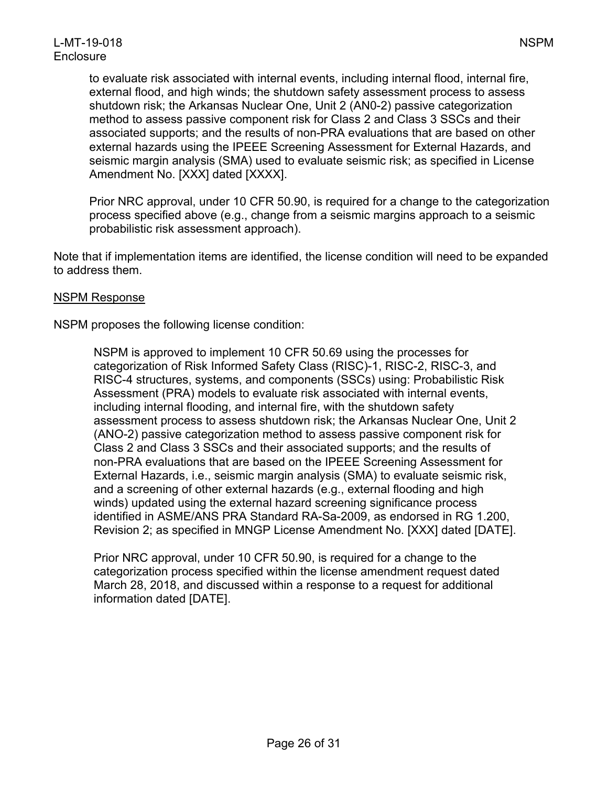to evaluate risk associated with internal events, including internal flood, internal fire, external flood, and high winds; the shutdown safety assessment process to assess shutdown risk; the Arkansas Nuclear One, Unit 2 (AN0-2) passive categorization method to assess passive component risk for Class 2 and Class 3 SSCs and their associated supports; and the results of non-PRA evaluations that are based on other external hazards using the IPEEE Screening Assessment for External Hazards, and seismic margin analysis (SMA) used to evaluate seismic risk; as specified in License Amendment No. [XXX] dated [XXXX].

Prior NRC approval, under 10 CFR 50.90, is required for a change to the categorization process specified above (e.g., change from a seismic margins approach to a seismic probabilistic risk assessment approach).

Note that if implementation items are identified, the license condition will need to be expanded to address them.

#### NSPM Response

NSPM proposes the following license condition:

NSPM is approved to implement 10 CFR 50.69 using the processes for categorization of Risk Informed Safety Class (RISC)-1, RISC-2, RISC-3, and RISC-4 structures, systems, and components (SSCs) using: Probabilistic Risk Assessment (PRA) models to evaluate risk associated with internal events, including internal flooding, and internal fire, with the shutdown safety assessment process to assess shutdown risk; the Arkansas Nuclear One, Unit 2 (ANO-2) passive categorization method to assess passive component risk for Class 2 and Class 3 SSCs and their associated supports; and the results of non-PRA evaluations that are based on the IPEEE Screening Assessment for External Hazards, i.e., seismic margin analysis (SMA) to evaluate seismic risk, and a screening of other external hazards (e.g., external flooding and high winds) updated using the external hazard screening significance process identified in ASME/ANS PRA Standard RA-Sa-2009, as endorsed in RG 1.200, Revision 2; as specified in MNGP License Amendment No. [XXX] dated [DATE].

Prior NRC approval, under 10 CFR 50.90, is required for a change to the categorization process specified within the license amendment request dated March 28, 2018, and discussed within a response to a request for additional information dated [DATE].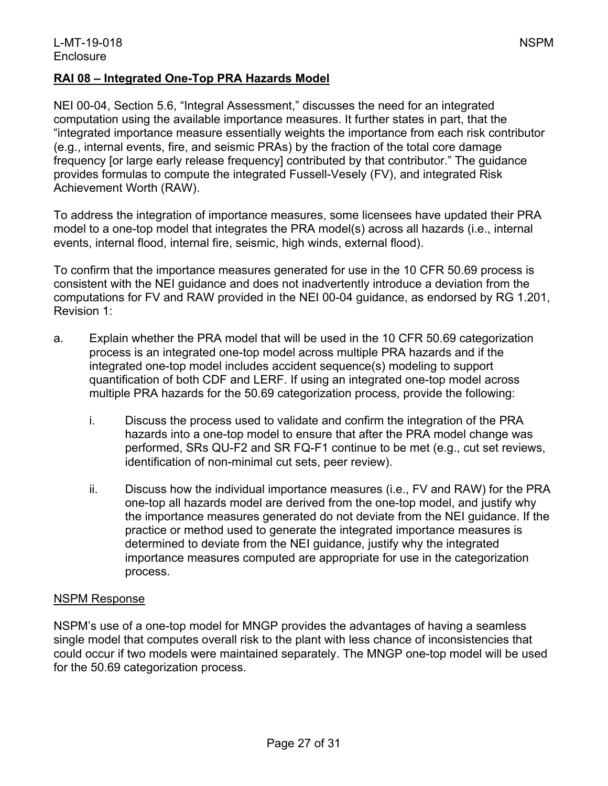#### **RAI 08 – Integrated One-Top PRA Hazards Model**

NEI 00-04, Section 5.6, "Integral Assessment," discusses the need for an integrated computation using the available importance measures. It further states in part, that the "integrated importance measure essentially weights the importance from each risk contributor (e.g., internal events, fire, and seismic PRAs) by the fraction of the total core damage frequency [or large early release frequency] contributed by that contributor." The guidance provides formulas to compute the integrated Fussell-Vesely (FV), and integrated Risk Achievement Worth (RAW).

To address the integration of importance measures, some licensees have updated their PRA model to a one-top model that integrates the PRA model(s) across all hazards (i.e., internal events, internal flood, internal fire, seismic, high winds, external flood).

To confirm that the importance measures generated for use in the 10 CFR 50.69 process is consistent with the NEI guidance and does not inadvertently introduce a deviation from the computations for FV and RAW provided in the NEI 00-04 guidance, as endorsed by RG 1.201, Revision 1:

- a. Explain whether the PRA model that will be used in the 10 CFR 50.69 categorization process is an integrated one-top model across multiple PRA hazards and if the integrated one-top model includes accident sequence(s) modeling to support quantification of both CDF and LERF. If using an integrated one-top model across multiple PRA hazards for the 50.69 categorization process, provide the following:
	- i. Discuss the process used to validate and confirm the integration of the PRA hazards into a one-top model to ensure that after the PRA model change was performed, SRs QU-F2 and SR FQ-F1 continue to be met (e.g., cut set reviews, identification of non-minimal cut sets, peer review).
	- ii. Discuss how the individual importance measures (i.e., FV and RAW) for the PRA one-top all hazards model are derived from the one-top model, and justify why the importance measures generated do not deviate from the NEI guidance. If the practice or method used to generate the integrated importance measures is determined to deviate from the NEI guidance, justify why the integrated importance measures computed are appropriate for use in the categorization process.

#### NSPM Response

NSPM's use of a one-top model for MNGP provides the advantages of having a seamless single model that computes overall risk to the plant with less chance of inconsistencies that could occur if two models were maintained separately. The MNGP one-top model will be used for the 50.69 categorization process.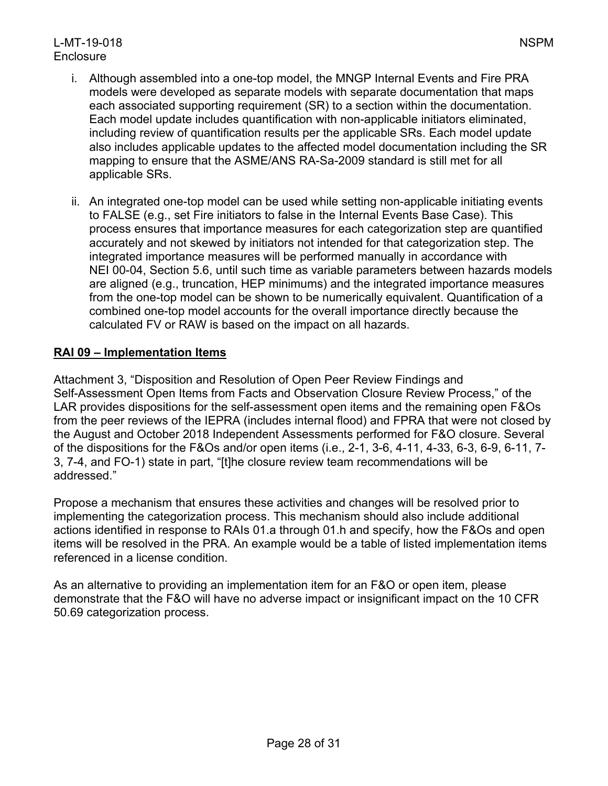# L-MT-19-018 NSPM **Enclosure**

- i. Although assembled into a one-top model, the MNGP Internal Events and Fire PRA models were developed as separate models with separate documentation that maps each associated supporting requirement (SR) to a section within the documentation. Each model update includes quantification with non-applicable initiators eliminated, including review of quantification results per the applicable SRs. Each model update also includes applicable updates to the affected model documentation including the SR mapping to ensure that the ASME/ANS RA-Sa-2009 standard is still met for all applicable SRs.
- ii. An integrated one-top model can be used while setting non-applicable initiating events to FALSE (e.g., set Fire initiators to false in the Internal Events Base Case). This process ensures that importance measures for each categorization step are quantified accurately and not skewed by initiators not intended for that categorization step. The integrated importance measures will be performed manually in accordance with NEI 00-04, Section 5.6, until such time as variable parameters between hazards models are aligned (e.g., truncation, HEP minimums) and the integrated importance measures from the one-top model can be shown to be numerically equivalent. Quantification of a combined one-top model accounts for the overall importance directly because the calculated FV or RAW is based on the impact on all hazards.

# **RAI 09 – Implementation Items**

Attachment 3, "Disposition and Resolution of Open Peer Review Findings and Self-Assessment Open Items from Facts and Observation Closure Review Process," of the LAR provides dispositions for the self-assessment open items and the remaining open F&Os from the peer reviews of the IEPRA (includes internal flood) and FPRA that were not closed by the August and October 2018 Independent Assessments performed for F&O closure. Several of the dispositions for the F&Os and/or open items (i.e., 2-1, 3-6, 4-11, 4-33, 6-3, 6-9, 6-11, 7- 3, 7-4, and FO-1) state in part, "[t]he closure review team recommendations will be addressed."

Propose a mechanism that ensures these activities and changes will be resolved prior to implementing the categorization process. This mechanism should also include additional actions identified in response to RAIs 01.a through 01.h and specify, how the F&Os and open items will be resolved in the PRA. An example would be a table of listed implementation items referenced in a license condition.

As an alternative to providing an implementation item for an F&O or open item, please demonstrate that the F&O will have no adverse impact or insignificant impact on the 10 CFR 50.69 categorization process.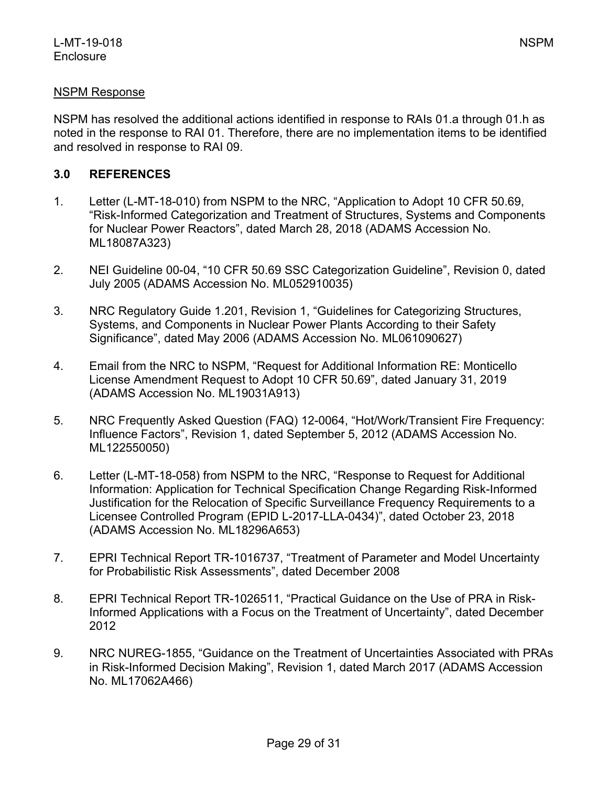#### NSPM Response

NSPM has resolved the additional actions identified in response to RAIs 01.a through 01.h as noted in the response to RAI 01. Therefore, there are no implementation items to be identified and resolved in response to RAI 09.

### **3.0 REFERENCES**

- 1. Letter (L-MT-18-010) from NSPM to the NRC, "Application to Adopt 10 CFR 50.69, "Risk-Informed Categorization and Treatment of Structures, Systems and Components for Nuclear Power Reactors", dated March 28, 2018 (ADAMS Accession No. ML18087A323)
- 2. NEI Guideline 00-04, "10 CFR 50.69 SSC Categorization Guideline", Revision 0, dated July 2005 (ADAMS Accession No. ML052910035)
- 3. NRC Regulatory Guide 1.201, Revision 1, "Guidelines for Categorizing Structures, Systems, and Components in Nuclear Power Plants According to their Safety Significance", dated May 2006 (ADAMS Accession No. ML061090627)
- 4. Email from the NRC to NSPM, "Request for Additional Information RE: Monticello License Amendment Request to Adopt 10 CFR 50.69", dated January 31, 2019 (ADAMS Accession No. ML19031A913)
- 5. NRC Frequently Asked Question (FAQ) 12-0064, "Hot/Work/Transient Fire Frequency: Influence Factors", Revision 1, dated September 5, 2012 (ADAMS Accession No. ML122550050)
- 6. Letter (L-MT-18-058) from NSPM to the NRC, "Response to Request for Additional Information: Application for Technical Specification Change Regarding Risk-Informed Justification for the Relocation of Specific Surveillance Frequency Requirements to a Licensee Controlled Program (EPID L-2017-LLA-0434)", dated October 23, 2018 (ADAMS Accession No. ML18296A653)
- 7. EPRI Technical Report TR-1016737, "Treatment of Parameter and Model Uncertainty for Probabilistic Risk Assessments", dated December 2008
- 8. EPRI Technical Report TR-1026511, "Practical Guidance on the Use of PRA in Risk-Informed Applications with a Focus on the Treatment of Uncertainty", dated December 2012
- 9. NRC NUREG-1855, "Guidance on the Treatment of Uncertainties Associated with PRAs in Risk-Informed Decision Making", Revision 1, dated March 2017 (ADAMS Accession No. ML17062A466)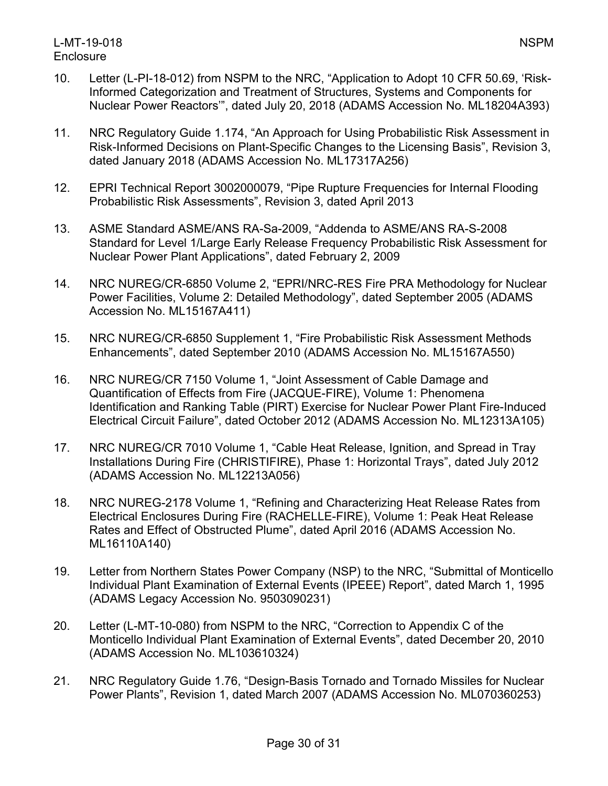- 10. Letter (L-PI-18-012) from NSPM to the NRC, "Application to Adopt 10 CFR 50.69, 'Risk-Informed Categorization and Treatment of Structures, Systems and Components for Nuclear Power Reactors'", dated July 20, 2018 (ADAMS Accession No. ML18204A393)
- 11. NRC Regulatory Guide 1.174, "An Approach for Using Probabilistic Risk Assessment in Risk-Informed Decisions on Plant-Specific Changes to the Licensing Basis", Revision 3, dated January 2018 (ADAMS Accession No. ML17317A256)
- 12. EPRI Technical Report 3002000079, "Pipe Rupture Frequencies for Internal Flooding Probabilistic Risk Assessments", Revision 3, dated April 2013
- 13. ASME Standard ASME/ANS RA-Sa-2009, "Addenda to ASME/ANS RA-S-2008 Standard for Level 1/Large Early Release Frequency Probabilistic Risk Assessment for Nuclear Power Plant Applications", dated February 2, 2009
- 14. NRC NUREG/CR-6850 Volume 2, "EPRI/NRC-RES Fire PRA Methodology for Nuclear Power Facilities, Volume 2: Detailed Methodology", dated September 2005 (ADAMS Accession No. ML15167A411)
- 15. NRC NUREG/CR-6850 Supplement 1, "Fire Probabilistic Risk Assessment Methods Enhancements", dated September 2010 (ADAMS Accession No. ML15167A550)
- 16. NRC NUREG/CR 7150 Volume 1, "Joint Assessment of Cable Damage and Quantification of Effects from Fire (JACQUE-FIRE), Volume 1: Phenomena Identification and Ranking Table (PIRT) Exercise for Nuclear Power Plant Fire-Induced Electrical Circuit Failure", dated October 2012 (ADAMS Accession No. ML12313A105)
- 17. NRC NUREG/CR 7010 Volume 1, "Cable Heat Release, Ignition, and Spread in Tray Installations During Fire (CHRISTIFIRE), Phase 1: Horizontal Trays", dated July 2012 (ADAMS Accession No. ML12213A056)
- 18. NRC NUREG-2178 Volume 1, "Refining and Characterizing Heat Release Rates from Electrical Enclosures During Fire (RACHELLE-FIRE), Volume 1: Peak Heat Release Rates and Effect of Obstructed Plume", dated April 2016 (ADAMS Accession No. ML16110A140)
- 19. Letter from Northern States Power Company (NSP) to the NRC, "Submittal of Monticello Individual Plant Examination of External Events (IPEEE) Report", dated March 1, 1995 (ADAMS Legacy Accession No. 9503090231)
- 20. Letter (L-MT-10-080) from NSPM to the NRC, "Correction to Appendix C of the Monticello Individual Plant Examination of External Events", dated December 20, 2010 (ADAMS Accession No. ML103610324)
- 21. NRC Regulatory Guide 1.76, "Design-Basis Tornado and Tornado Missiles for Nuclear Power Plants", Revision 1, dated March 2007 (ADAMS Accession No. ML070360253)